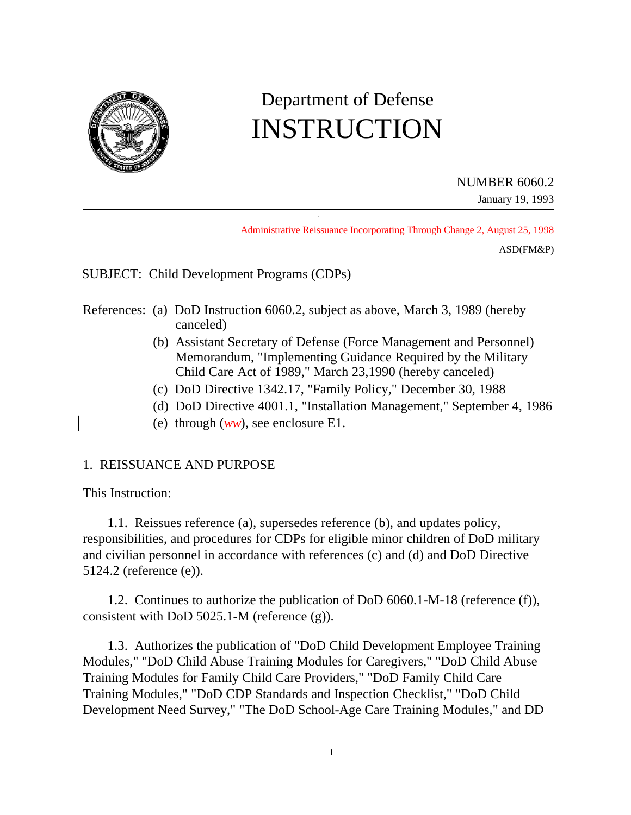

# Department of Defense INSTRUCTION

NUMBER 6060.2

January 19, 1993

Administrative Reissuance Incorporating Through Change 2, August 25, 1998

ASD(FM&P)

SUBJECT: Child Development Programs (CDPs)

- References: (a) DoD Instruction 6060.2, subject as above, March 3, 1989 (hereby canceled)
	- (b) Assistant Secretary of Defense (Force Management and Personnel) Memorandum, "Implementing Guidance Required by the Military Child Care Act of 1989," March 23,1990 (hereby canceled)
	- (c) DoD Directive 1342.17, "Family Policy," December 30, 1988
	- (d) DoD Directive 4001.1, "Installation Management," September 4, 1986
	- (e) through (*ww*), see enclosure E1.

## 1. REISSUANCE AND PURPOSE

This Instruction:

1.1. Reissues reference (a), supersedes reference (b), and updates policy, responsibilities, and procedures for CDPs for eligible minor children of DoD military and civilian personnel in accordance with references (c) and (d) and DoD Directive 5124.2 (reference (e)).

1.2. Continues to authorize the publication of DoD 6060.1-M-18 (reference (f)), consistent with DoD 5025.1-M (reference (g)).

1.3. Authorizes the publication of "DoD Child Development Employee Training Modules," "DoD Child Abuse Training Modules for Caregivers," "DoD Child Abuse Training Modules for Family Child Care Providers," "DoD Family Child Care Training Modules," "DoD CDP Standards and Inspection Checklist," "DoD Child Development Need Survey," "The DoD School-Age Care Training Modules," and DD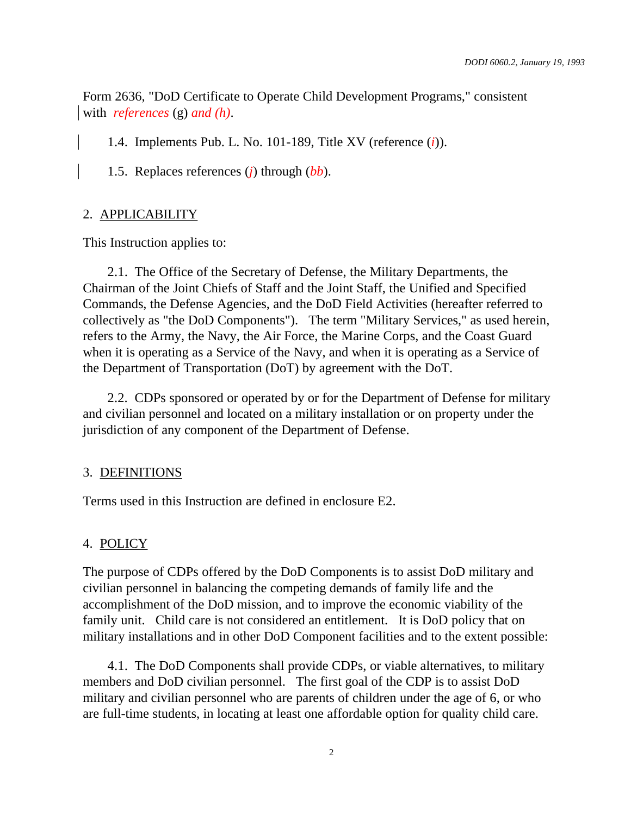Form 2636, "DoD Certificate to Operate Child Development Programs," consistent with *references* (g) *and (h)*.

1.4. Implements Pub. L. No. 101-189, Title XV (reference (*i*)).

1.5. Replaces references (*j*) through (*bb*).

#### 2. APPLICABILITY

This Instruction applies to:

2.1. The Office of the Secretary of Defense, the Military Departments, the Chairman of the Joint Chiefs of Staff and the Joint Staff, the Unified and Specified Commands, the Defense Agencies, and the DoD Field Activities (hereafter referred to collectively as "the DoD Components"). The term "Military Services," as used herein, refers to the Army, the Navy, the Air Force, the Marine Corps, and the Coast Guard when it is operating as a Service of the Navy, and when it is operating as a Service of the Department of Transportation (DoT) by agreement with the DoT.

2.2. CDPs sponsored or operated by or for the Department of Defense for military and civilian personnel and located on a military installation or on property under the jurisdiction of any component of the Department of Defense.

#### 3. DEFINITIONS

Terms used in this Instruction are defined in enclosure E2.

#### 4. POLICY

The purpose of CDPs offered by the DoD Components is to assist DoD military and civilian personnel in balancing the competing demands of family life and the accomplishment of the DoD mission, and to improve the economic viability of the family unit. Child care is not considered an entitlement. It is DoD policy that on military installations and in other DoD Component facilities and to the extent possible:

4.1. The DoD Components shall provide CDPs, or viable alternatives, to military members and DoD civilian personnel. The first goal of the CDP is to assist DoD military and civilian personnel who are parents of children under the age of 6, or who are full-time students, in locating at least one affordable option for quality child care.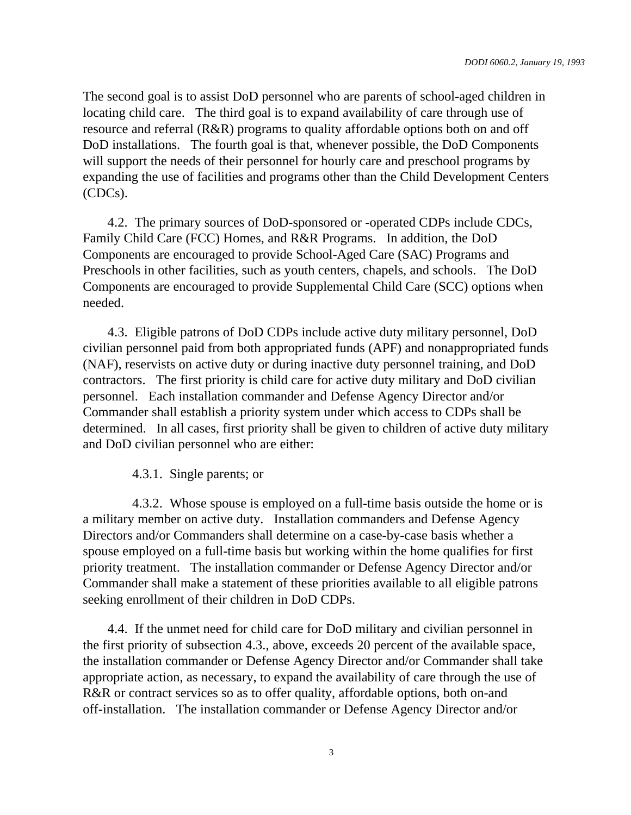The second goal is to assist DoD personnel who are parents of school-aged children in locating child care. The third goal is to expand availability of care through use of resource and referral (R&R) programs to quality affordable options both on and off DoD installations. The fourth goal is that, whenever possible, the DoD Components will support the needs of their personnel for hourly care and preschool programs by expanding the use of facilities and programs other than the Child Development Centers (CDCs).

4.2. The primary sources of DoD-sponsored or -operated CDPs include CDCs, Family Child Care (FCC) Homes, and R&R Programs. In addition, the DoD Components are encouraged to provide School-Aged Care (SAC) Programs and Preschools in other facilities, such as youth centers, chapels, and schools. The DoD Components are encouraged to provide Supplemental Child Care (SCC) options when needed.

4.3. Eligible patrons of DoD CDPs include active duty military personnel, DoD civilian personnel paid from both appropriated funds (APF) and nonappropriated funds (NAF), reservists on active duty or during inactive duty personnel training, and DoD contractors. The first priority is child care for active duty military and DoD civilian personnel. Each installation commander and Defense Agency Director and/or Commander shall establish a priority system under which access to CDPs shall be determined. In all cases, first priority shall be given to children of active duty military and DoD civilian personnel who are either:

#### 4.3.1. Single parents; or

4.3.2. Whose spouse is employed on a full-time basis outside the home or is a military member on active duty. Installation commanders and Defense Agency Directors and/or Commanders shall determine on a case-by-case basis whether a spouse employed on a full-time basis but working within the home qualifies for first priority treatment. The installation commander or Defense Agency Director and/or Commander shall make a statement of these priorities available to all eligible patrons seeking enrollment of their children in DoD CDPs.

4.4. If the unmet need for child care for DoD military and civilian personnel in the first priority of subsection 4.3., above, exceeds 20 percent of the available space, the installation commander or Defense Agency Director and/or Commander shall take appropriate action, as necessary, to expand the availability of care through the use of R&R or contract services so as to offer quality, affordable options, both on-and off-installation. The installation commander or Defense Agency Director and/or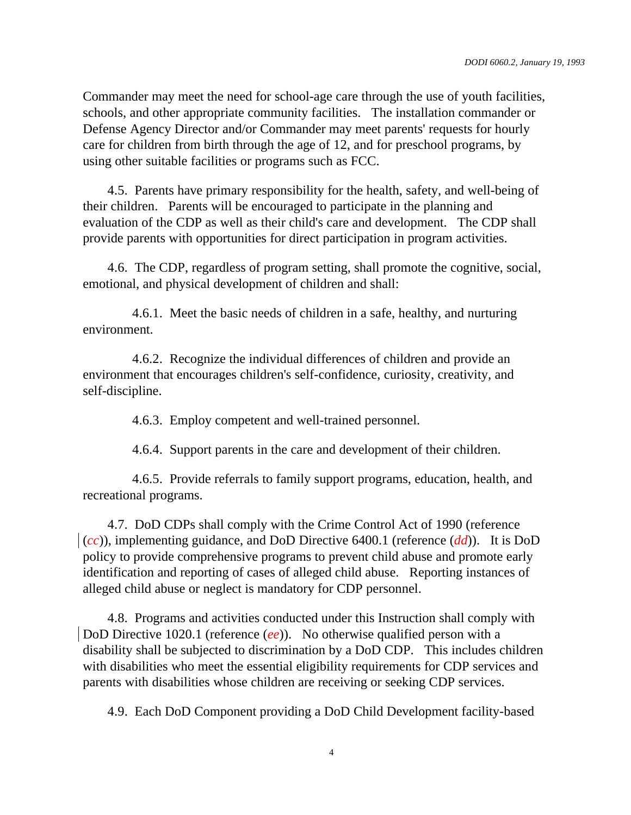Commander may meet the need for school-age care through the use of youth facilities, schools, and other appropriate community facilities. The installation commander or Defense Agency Director and/or Commander may meet parents' requests for hourly care for children from birth through the age of 12, and for preschool programs, by using other suitable facilities or programs such as FCC.

4.5. Parents have primary responsibility for the health, safety, and well-being of their children. Parents will be encouraged to participate in the planning and evaluation of the CDP as well as their child's care and development. The CDP shall provide parents with opportunities for direct participation in program activities.

4.6. The CDP, regardless of program setting, shall promote the cognitive, social, emotional, and physical development of children and shall:

4.6.1. Meet the basic needs of children in a safe, healthy, and nurturing environment.

4.6.2. Recognize the individual differences of children and provide an environment that encourages children's self-confidence, curiosity, creativity, and self-discipline.

4.6.3. Employ competent and well-trained personnel.

4.6.4. Support parents in the care and development of their children.

4.6.5. Provide referrals to family support programs, education, health, and recreational programs.

4.7. DoD CDPs shall comply with the Crime Control Act of 1990 (reference  $(cc)$ , implementing guidance, and DoD Directive 6400.1 (reference  $(dd)$ ). It is DoD policy to provide comprehensive programs to prevent child abuse and promote early identification and reporting of cases of alleged child abuse. Reporting instances of alleged child abuse or neglect is mandatory for CDP personnel.

4.8. Programs and activities conducted under this Instruction shall comply with DoD Directive 1020.1 (reference (*ee*)). No otherwise qualified person with a disability shall be subjected to discrimination by a DoD CDP. This includes children with disabilities who meet the essential eligibility requirements for CDP services and parents with disabilities whose children are receiving or seeking CDP services.

4.9. Each DoD Component providing a DoD Child Development facility-based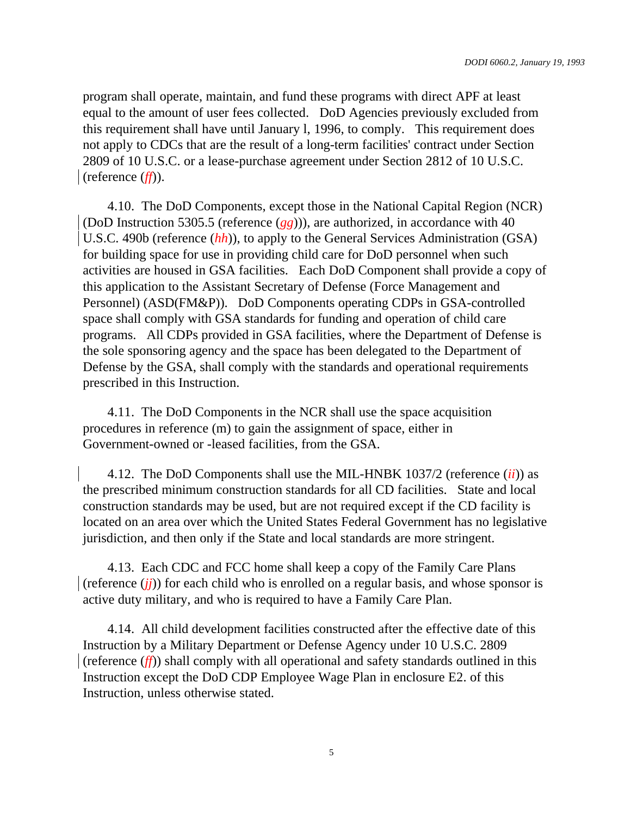program shall operate, maintain, and fund these programs with direct APF at least equal to the amount of user fees collected. DoD Agencies previously excluded from this requirement shall have until January l, 1996, to comply. This requirement does not apply to CDCs that are the result of a long-term facilities' contract under Section 2809 of 10 U.S.C. or a lease-purchase agreement under Section 2812 of 10 U.S.C. (reference (*ff*)).

4.10. The DoD Components, except those in the National Capital Region (NCR) (DoD Instruction 5305.5 (reference (*gg*))), are authorized, in accordance with 40 U.S.C. 490b (reference (*hh*)), to apply to the General Services Administration (GSA) for building space for use in providing child care for DoD personnel when such activities are housed in GSA facilities. Each DoD Component shall provide a copy of this application to the Assistant Secretary of Defense (Force Management and Personnel) (ASD(FM&P)). DoD Components operating CDPs in GSA-controlled space shall comply with GSA standards for funding and operation of child care programs. All CDPs provided in GSA facilities, where the Department of Defense is the sole sponsoring agency and the space has been delegated to the Department of Defense by the GSA, shall comply with the standards and operational requirements prescribed in this Instruction.

4.11. The DoD Components in the NCR shall use the space acquisition procedures in reference (m) to gain the assignment of space, either in Government-owned or -leased facilities, from the GSA.

4.12. The DoD Components shall use the MIL-HNBK 1037/2 (reference (*ii*)) as the prescribed minimum construction standards for all CD facilities. State and local construction standards may be used, but are not required except if the CD facility is located on an area over which the United States Federal Government has no legislative jurisdiction, and then only if the State and local standards are more stringent.

4.13. Each CDC and FCC home shall keep a copy of the Family Care Plans (reference (*jj*)) for each child who is enrolled on a regular basis, and whose sponsor is active duty military, and who is required to have a Family Care Plan.

4.14. All child development facilities constructed after the effective date of this Instruction by a Military Department or Defense Agency under 10 U.S.C. 2809 (reference (*ff*)) shall comply with all operational and safety standards outlined in this Instruction except the DoD CDP Employee Wage Plan in enclosure E2. of this Instruction, unless otherwise stated.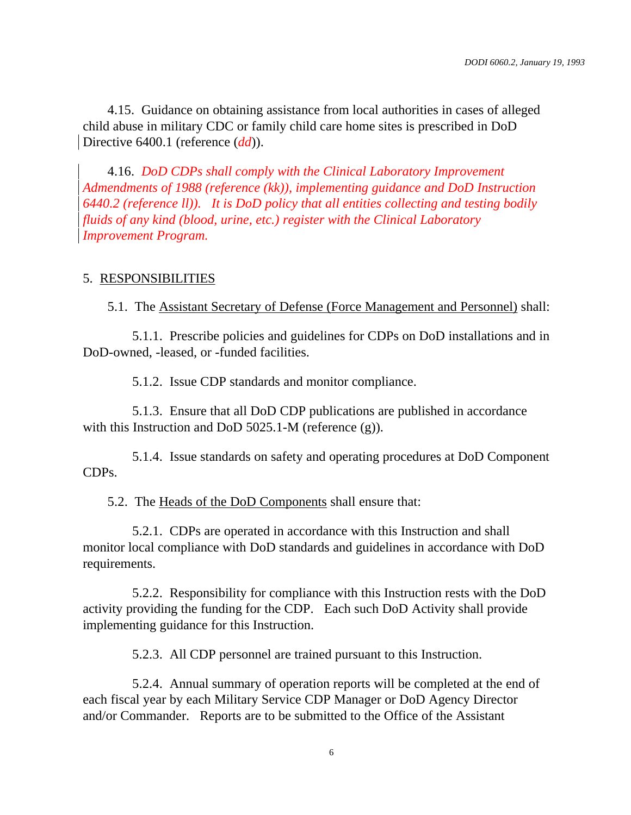4.15. Guidance on obtaining assistance from local authorities in cases of alleged child abuse in military CDC or family child care home sites is prescribed in DoD Directive 6400.1 (reference *(dd)*).

4.16. *DoD CDPs shall comply with the Clinical Laboratory Improvement Admendments of 1988 (reference (kk)), implementing guidance and DoD Instruction 6440.2 (reference ll)). It is DoD policy that all entities collecting and testing bodily fluids of any kind (blood, urine, etc.) register with the Clinical Laboratory Improvement Program.*

#### 5. RESPONSIBILITIES

5.1. The Assistant Secretary of Defense (Force Management and Personnel) shall:

5.1.1. Prescribe policies and guidelines for CDPs on DoD installations and in DoD-owned, -leased, or -funded facilities.

5.1.2. Issue CDP standards and monitor compliance.

5.1.3. Ensure that all DoD CDP publications are published in accordance with this Instruction and DoD 5025.1-M (reference (g)).

5.1.4. Issue standards on safety and operating procedures at DoD Component CDPs.

5.2. The Heads of the DoD Components shall ensure that:

5.2.1. CDPs are operated in accordance with this Instruction and shall monitor local compliance with DoD standards and guidelines in accordance with DoD requirements.

5.2.2. Responsibility for compliance with this Instruction rests with the DoD activity providing the funding for the CDP. Each such DoD Activity shall provide implementing guidance for this Instruction.

5.2.3. All CDP personnel are trained pursuant to this Instruction.

5.2.4. Annual summary of operation reports will be completed at the end of each fiscal year by each Military Service CDP Manager or DoD Agency Director and/or Commander. Reports are to be submitted to the Office of the Assistant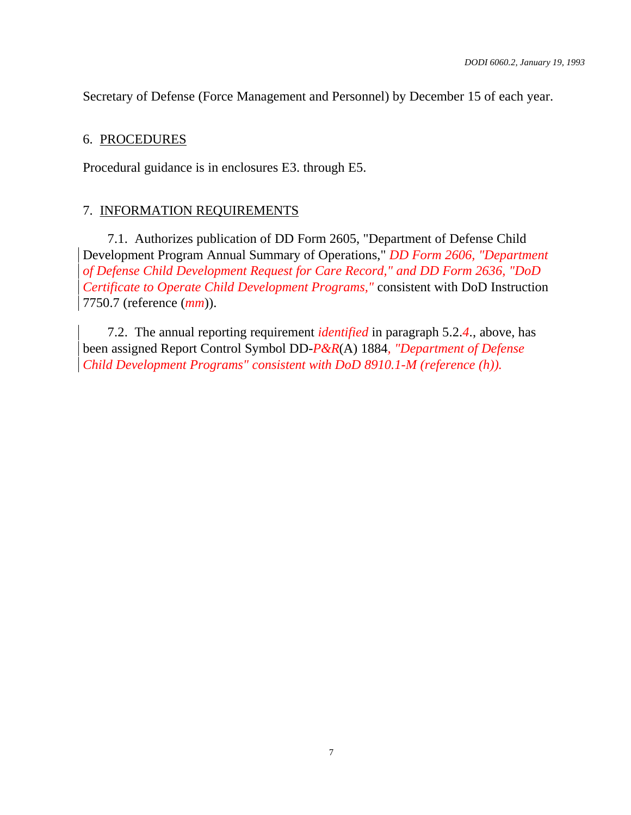Secretary of Defense (Force Management and Personnel) by December 15 of each year.

#### 6. PROCEDURES

Procedural guidance is in enclosures E3. through E5.

#### 7. INFORMATION REQUIREMENTS

7.1. Authorizes publication of DD Form 2605, "Department of Defense Child Development Program Annual Summary of Operations," *DD Form 2606, "Department of Defense Child Development Request for Care Record," and DD Form 2636, "DoD Certificate to Operate Child Development Programs,"* consistent with DoD Instruction 7750.7 (reference (*mm*)).

7.2. The annual reporting requirement *identified* in paragraph 5.2.*4*., above, has been assigned Report Control Symbol DD-*P&R*(A) 1884*, "Department of Defense Child Development Programs" consistent with DoD 8910.1-M (reference (h)).*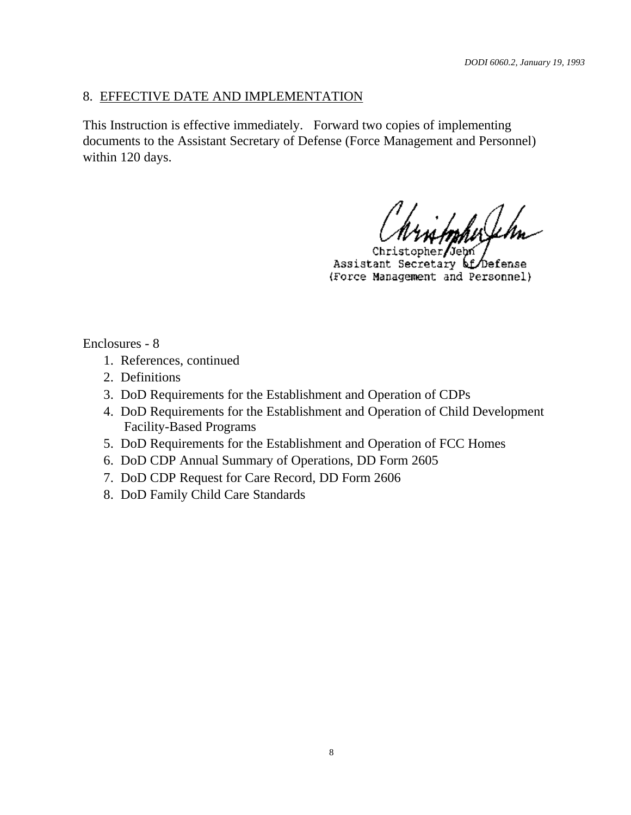## 8. EFFECTIVE DATE AND IMPLEMENTATION

This Instruction is effective immediately. Forward two copies of implementing documents to the Assistant Secretary of Defense (Force Management and Personnel) within 120 days.

itopherfelm

 $opher/Jepn$ Christ Assistant Secretary of Defense (Force Management and Personnel)

Enclosures - 8

- 1. References, continued
- 2. Definitions
- 3. DoD Requirements for the Establishment and Operation of CDPs
- 4. DoD Requirements for the Establishment and Operation of Child Development Facility-Based Programs
- 5. DoD Requirements for the Establishment and Operation of FCC Homes
- 6. DoD CDP Annual Summary of Operations, DD Form 2605
- 7. DoD CDP Request for Care Record, DD Form 2606
- 8. DoD Family Child Care Standards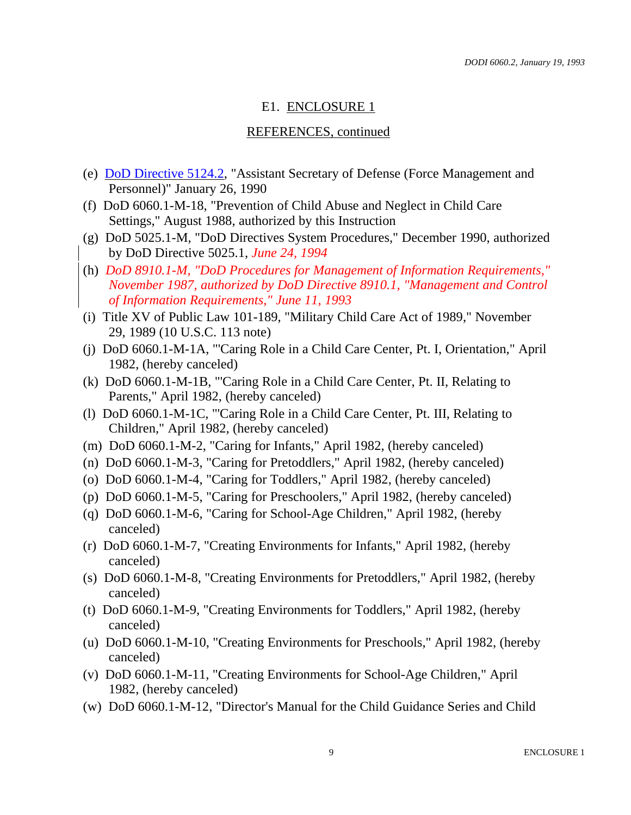## E1. ENCLOSURE 1

#### REFERENCES, continued

- (e) DoD Directive 5124.2, "Assistant Secretary of Defense (Force Management and Personnel)" January 26, 1990
- (f) DoD 6060.1-M-18, "Prevention of Child Abuse and Neglect in Child Care Settings," August 1988, authorized by this Instruction
- (g) DoD 5025.1-M, "DoD Directives System Procedures," December 1990, authorized by DoD Directive 5025.1, *June 24, 1994*
- (h) *DoD 8910.1-M, "DoD Procedures for Management of Information Requirements," November 1987, authorized by DoD Directive 8910.1, "Management and Control of Information Requirements," June 11, 1993*
- (i) Title XV of Public Law 101-189, "Military Child Care Act of 1989," November 29, 1989 (10 U.S.C. 113 note)
- (j) DoD 6060.1-M-1A, "'Caring Role in a Child Care Center, Pt. I, Orientation," April 1982, (hereby canceled)
- (k) DoD 6060.1-M-1B, "'Caring Role in a Child Care Center, Pt. II, Relating to Parents," April 1982, (hereby canceled)
- (l) DoD 6060.1-M-1C, "'Caring Role in a Child Care Center, Pt. III, Relating to Children," April 1982, (hereby canceled)
- (m) DoD 6060.1-M-2, "Caring for Infants," April 1982, (hereby canceled)
- (n) DoD 6060.1-M-3, "Caring for Pretoddlers," April 1982, (hereby canceled)
- (o) DoD 6060.1-M-4, "Caring for Toddlers," April 1982, (hereby canceled)
- (p) DoD 6060.1-M-5, "Caring for Preschoolers," April 1982, (hereby canceled)
- (q) DoD 6060.1-M-6, "Caring for School-Age Children," April 1982, (hereby canceled)
- (r) DoD 6060.1-M-7, "Creating Environments for Infants," April 1982, (hereby canceled)
- (s) DoD 6060.1-M-8, "Creating Environments for Pretoddlers," April 1982, (hereby canceled)
- (t) DoD 6060.1-M-9, "Creating Environments for Toddlers," April 1982, (hereby canceled)
- (u) DoD 6060.1-M-10, "Creating Environments for Preschools," April 1982, (hereby canceled)
- (v) DoD 6060.1-M-11, "Creating Environments for School-Age Children," April 1982, (hereby canceled)
- (w) DoD 6060.1-M-12, "Director's Manual for the Child Guidance Series and Child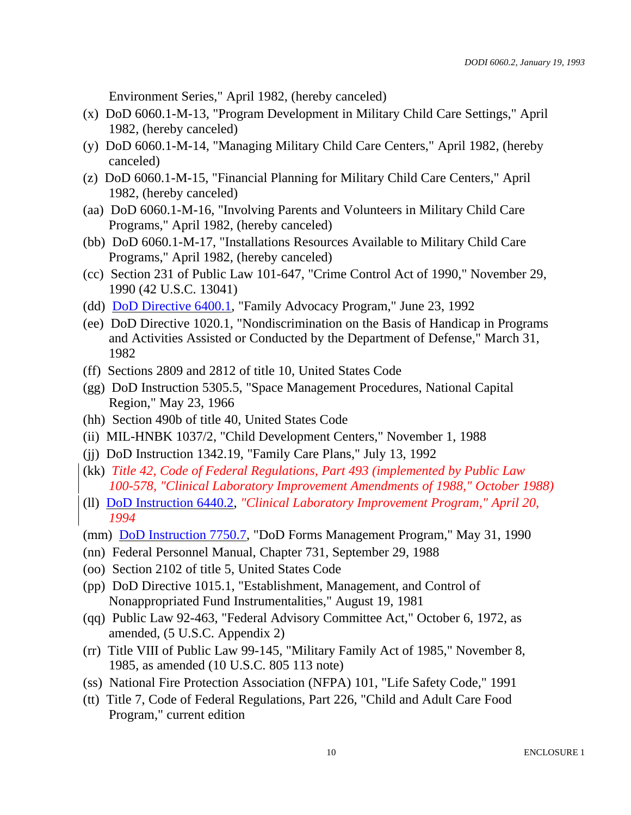Environment Series," April 1982, (hereby canceled)

- (x) DoD 6060.1-M-13, "Program Development in Military Child Care Settings," April 1982, (hereby canceled)
- (y) DoD 6060.1-M-14, "Managing Military Child Care Centers," April 1982, (hereby canceled)
- (z) DoD 6060.1-M-15, "Financial Planning for Military Child Care Centers," April 1982, (hereby canceled)
- (aa) DoD 6060.1-M-16, "Involving Parents and Volunteers in Military Child Care Programs," April 1982, (hereby canceled)
- (bb) DoD 6060.1-M-17, "Installations Resources Available to Military Child Care Programs," April 1982, (hereby canceled)
- (cc) Section 231 of Public Law 101-647, "Crime Control Act of 1990," November 29, 1990 (42 U.S.C. 13041)
- (dd) **DoD Directive 6400.1**, "Family Advocacy Program," June 23, 1992
- (ee) DoD Directive 1020.1, "Nondiscrimination on the Basis of Handicap in Programs and Activities Assisted or Conducted by the Department of Defense," March 31, 1982
- (ff) Sections 2809 and 2812 of title 10, United States Code
- (gg) DoD Instruction 5305.5, "Space Management Procedures, National Capital Region," May 23, 1966
- (hh) Section 490b of title 40, United States Code
- (ii) MIL-HNBK 1037/2, "Child Development Centers," November 1, 1988
- (jj) DoD Instruction 1342.19, "Family Care Plans," July 13, 1992
- (kk) *Title 42, Code of Federal Regulations, Part 493 (implemented by Public Law 100-578, "Clinical Laboratory Improvement Amendments of 1988," October 1988)*
- (ll) DoD Instruction 6440.2, *"Clinical Laboratory Improvement Program," April 20, 1994*
- (mm) DoD Instruction 7750.7, "DoD Forms Management Program," May 31, 1990
- (nn) Federal Personnel Manual, Chapter 731, September 29, 1988
- (oo) Section 2102 of title 5, United States Code
- (pp) DoD Directive 1015.1, "Establishment, Management, and Control of Nonappropriated Fund Instrumentalities," August 19, 1981
- (qq) Public Law 92-463, "Federal Advisory Committee Act," October 6, 1972, as amended, (5 U.S.C. Appendix 2)
- (rr) Title VIII of Public Law 99-145, "Military Family Act of 1985," November 8, 1985, as amended (10 U.S.C. 805 113 note)
- (ss) National Fire Protection Association (NFPA) 101, "Life Safety Code," 1991
- (tt) Title 7, Code of Federal Regulations, Part 226, "Child and Adult Care Food Program," current edition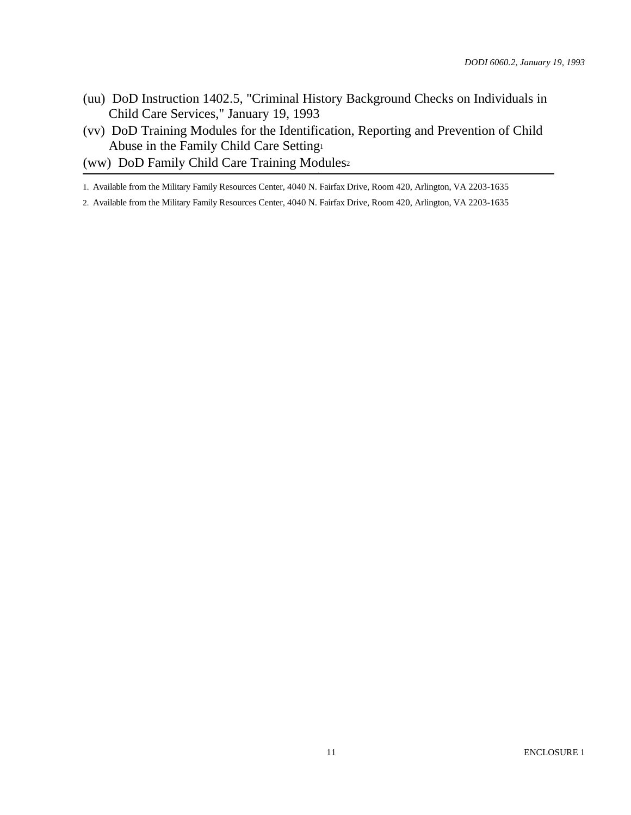- (uu) DoD Instruction 1402.5, "Criminal History Background Checks on Individuals in Child Care Services," January 19, 1993
- (vv) DoD Training Modules for the Identification, Reporting and Prevention of Child Abuse in the Family Child Care Setting<sup>1</sup>
- (ww) DoD Family Child Care Training Modules<sup>2</sup>

1. Available from the Military Family Resources Center, 4040 N. Fairfax Drive, Room 420, Arlington, VA 2203-1635

2. Available from the Military Family Resources Center, 4040 N. Fairfax Drive, Room 420, Arlington, VA 2203-1635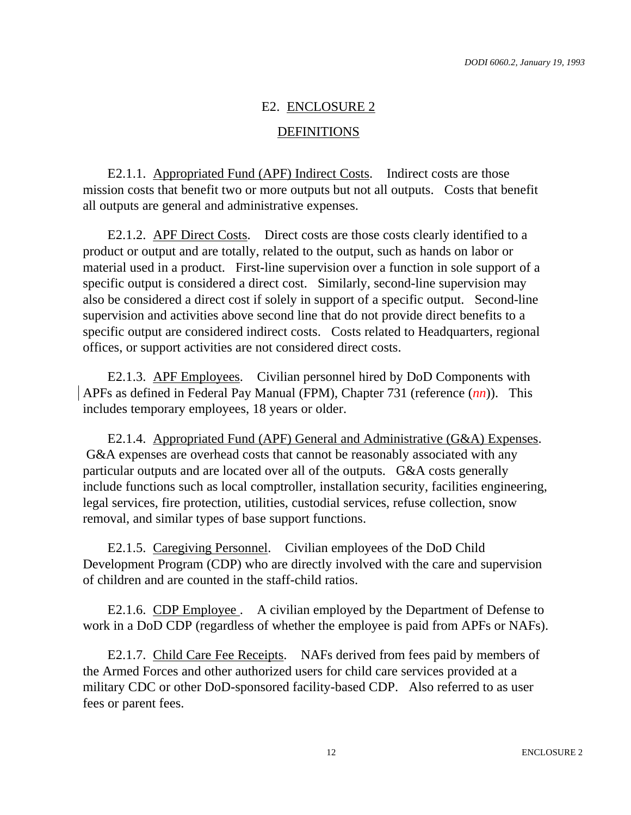## E2. ENCLOSURE 2

#### DEFINITIONS

E2.1.1. Appropriated Fund (APF) Indirect Costs. Indirect costs are those mission costs that benefit two or more outputs but not all outputs. Costs that benefit all outputs are general and administrative expenses.

E2.1.2. APF Direct Costs. Direct costs are those costs clearly identified to a product or output and are totally, related to the output, such as hands on labor or material used in a product. First-line supervision over a function in sole support of a specific output is considered a direct cost. Similarly, second-line supervision may also be considered a direct cost if solely in support of a specific output. Second-line supervision and activities above second line that do not provide direct benefits to a specific output are considered indirect costs. Costs related to Headquarters, regional offices, or support activities are not considered direct costs.

E2.1.3. APF Employees. Civilian personnel hired by DoD Components with APFs as defined in Federal Pay Manual (FPM), Chapter 731 (reference (*nn*)). This includes temporary employees, 18 years or older.

E2.1.4. Appropriated Fund (APF) General and Administrative (G&A) Expenses. G&A expenses are overhead costs that cannot be reasonably associated with any particular outputs and are located over all of the outputs. G&A costs generally include functions such as local comptroller, installation security, facilities engineering, legal services, fire protection, utilities, custodial services, refuse collection, snow removal, and similar types of base support functions.

E2.1.5. Caregiving Personnel. Civilian employees of the DoD Child Development Program (CDP) who are directly involved with the care and supervision of children and are counted in the staff-child ratios.

E2.1.6. CDP Employee . A civilian employed by the Department of Defense to work in a DoD CDP (regardless of whether the employee is paid from APFs or NAFs).

E2.1.7. Child Care Fee Receipts. NAFs derived from fees paid by members of the Armed Forces and other authorized users for child care services provided at a military CDC or other DoD-sponsored facility-based CDP. Also referred to as user fees or parent fees.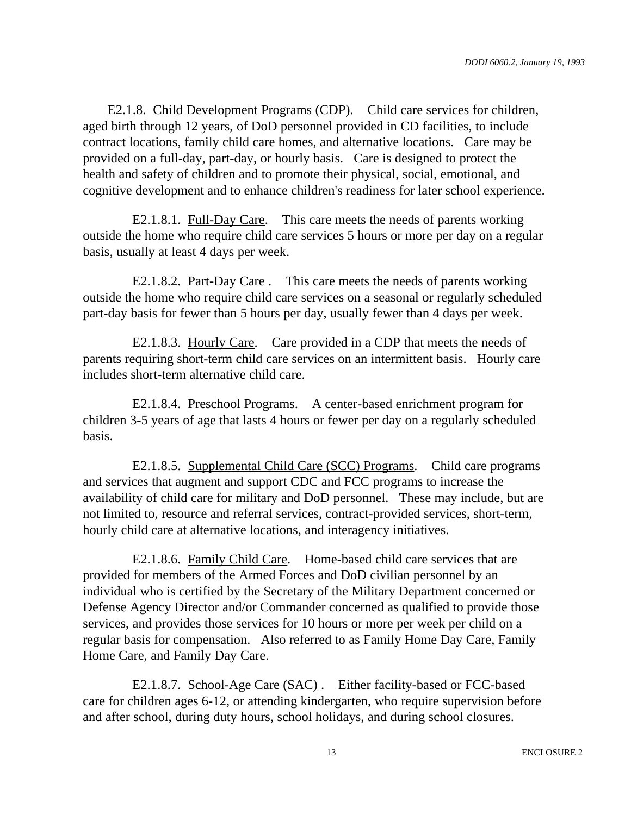E2.1.8. Child Development Programs (CDP). Child care services for children, aged birth through 12 years, of DoD personnel provided in CD facilities, to include contract locations, family child care homes, and alternative locations. Care may be provided on a full-day, part-day, or hourly basis. Care is designed to protect the health and safety of children and to promote their physical, social, emotional, and cognitive development and to enhance children's readiness for later school experience.

E2.1.8.1. Full-Day Care. This care meets the needs of parents working outside the home who require child care services 5 hours or more per day on a regular basis, usually at least 4 days per week.

E2.1.8.2. Part-Day Care . This care meets the needs of parents working outside the home who require child care services on a seasonal or regularly scheduled part-day basis for fewer than 5 hours per day, usually fewer than 4 days per week.

E2.1.8.3. Hourly Care. Care provided in a CDP that meets the needs of parents requiring short-term child care services on an intermittent basis. Hourly care includes short-term alternative child care.

E2.1.8.4. Preschool Programs. A center-based enrichment program for children 3-5 years of age that lasts 4 hours or fewer per day on a regularly scheduled basis.

E2.1.8.5. Supplemental Child Care (SCC) Programs. Child care programs and services that augment and support CDC and FCC programs to increase the availability of child care for military and DoD personnel. These may include, but are not limited to, resource and referral services, contract-provided services, short-term, hourly child care at alternative locations, and interagency initiatives.

E2.1.8.6. Family Child Care. Home-based child care services that are provided for members of the Armed Forces and DoD civilian personnel by an individual who is certified by the Secretary of the Military Department concerned or Defense Agency Director and/or Commander concerned as qualified to provide those services, and provides those services for 10 hours or more per week per child on a regular basis for compensation. Also referred to as Family Home Day Care, Family Home Care, and Family Day Care.

E2.1.8.7. School-Age Care (SAC) . Either facility-based or FCC-based care for children ages 6-12, or attending kindergarten, who require supervision before and after school, during duty hours, school holidays, and during school closures.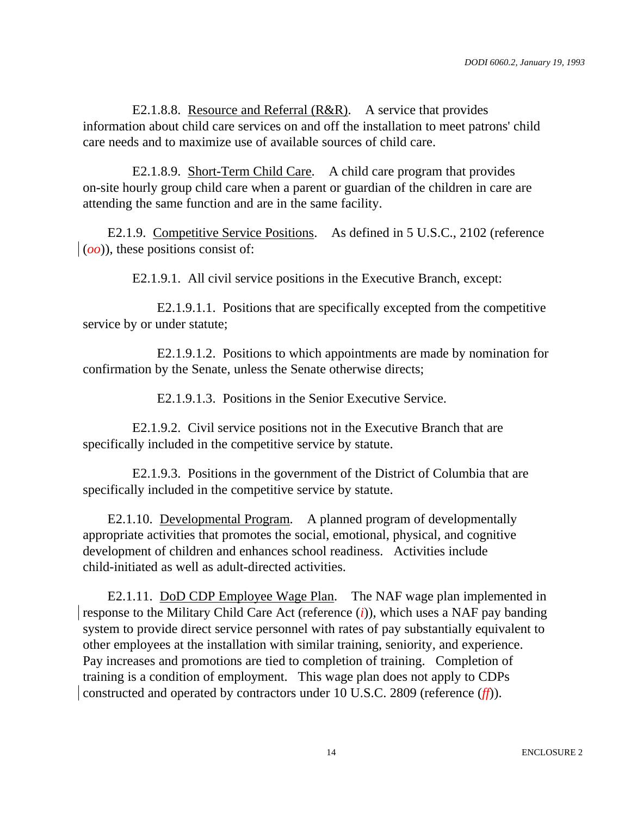E2.1.8.8. Resource and Referral (R&R). A service that provides information about child care services on and off the installation to meet patrons' child care needs and to maximize use of available sources of child care.

E2.1.8.9. Short-Term Child Care. A child care program that provides on-site hourly group child care when a parent or guardian of the children in care are attending the same function and are in the same facility.

E2.1.9. Competitive Service Positions. As defined in 5 U.S.C., 2102 (reference  $\phi$ (*oo*)), these positions consist of:

E2.1.9.1. All civil service positions in the Executive Branch, except:

E2.1.9.1.1. Positions that are specifically excepted from the competitive service by or under statute;

E2.1.9.1.2. Positions to which appointments are made by nomination for confirmation by the Senate, unless the Senate otherwise directs;

E2.1.9.1.3. Positions in the Senior Executive Service.

E2.1.9.2. Civil service positions not in the Executive Branch that are specifically included in the competitive service by statute.

E2.1.9.3. Positions in the government of the District of Columbia that are specifically included in the competitive service by statute.

E2.1.10. Developmental Program. A planned program of developmentally appropriate activities that promotes the social, emotional, physical, and cognitive development of children and enhances school readiness. Activities include child-initiated as well as adult-directed activities.

E2.1.11. DoD CDP Employee Wage Plan. The NAF wage plan implemented in response to the Military Child Care Act (reference (*i*)), which uses a NAF pay banding system to provide direct service personnel with rates of pay substantially equivalent to other employees at the installation with similar training, seniority, and experience. Pay increases and promotions are tied to completion of training. Completion of training is a condition of employment. This wage plan does not apply to CDPs constructed and operated by contractors under 10 U.S.C. 2809 (reference (*ff*)).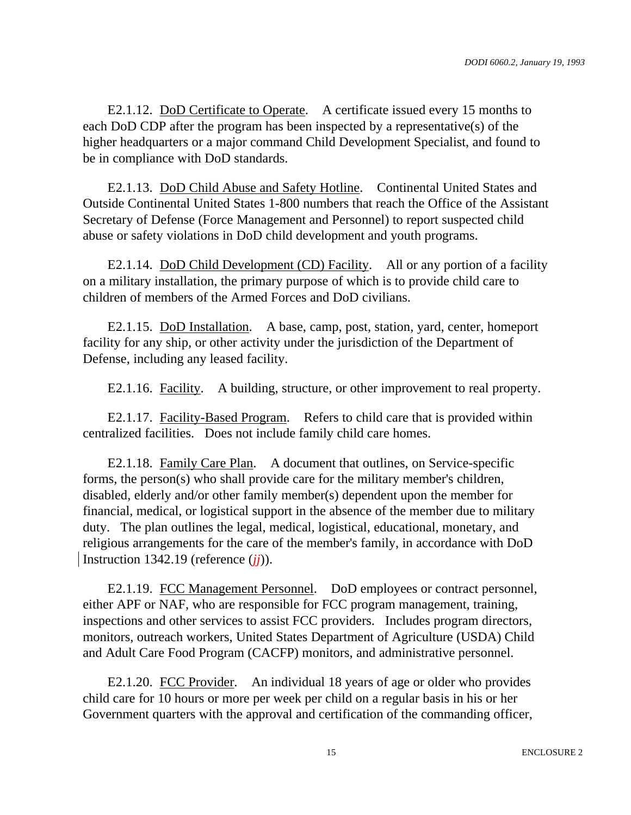E2.1.12. DoD Certificate to Operate. A certificate issued every 15 months to each DoD CDP after the program has been inspected by a representative(s) of the higher headquarters or a major command Child Development Specialist, and found to be in compliance with DoD standards.

E2.1.13. DoD Child Abuse and Safety Hotline. Continental United States and Outside Continental United States 1-800 numbers that reach the Office of the Assistant Secretary of Defense (Force Management and Personnel) to report suspected child abuse or safety violations in DoD child development and youth programs.

E2.1.14. DoD Child Development (CD) Facility. All or any portion of a facility on a military installation, the primary purpose of which is to provide child care to children of members of the Armed Forces and DoD civilians.

E2.1.15. DoD Installation. A base, camp, post, station, yard, center, homeport facility for any ship, or other activity under the jurisdiction of the Department of Defense, including any leased facility.

E2.1.16. Facility. A building, structure, or other improvement to real property.

E2.1.17. Facility-Based Program. Refers to child care that is provided within centralized facilities. Does not include family child care homes.

E2.1.18. Family Care Plan. A document that outlines, on Service-specific forms, the person(s) who shall provide care for the military member's children, disabled, elderly and/or other family member(s) dependent upon the member for financial, medical, or logistical support in the absence of the member due to military duty. The plan outlines the legal, medical, logistical, educational, monetary, and religious arrangements for the care of the member's family, in accordance with DoD Instruction 1342.19 (reference (*jj*)).

E2.1.19. FCC Management Personnel. DoD employees or contract personnel, either APF or NAF, who are responsible for FCC program management, training, inspections and other services to assist FCC providers. Includes program directors, monitors, outreach workers, United States Department of Agriculture (USDA) Child and Adult Care Food Program (CACFP) monitors, and administrative personnel.

E2.1.20. FCC Provider. An individual 18 years of age or older who provides child care for 10 hours or more per week per child on a regular basis in his or her Government quarters with the approval and certification of the commanding officer,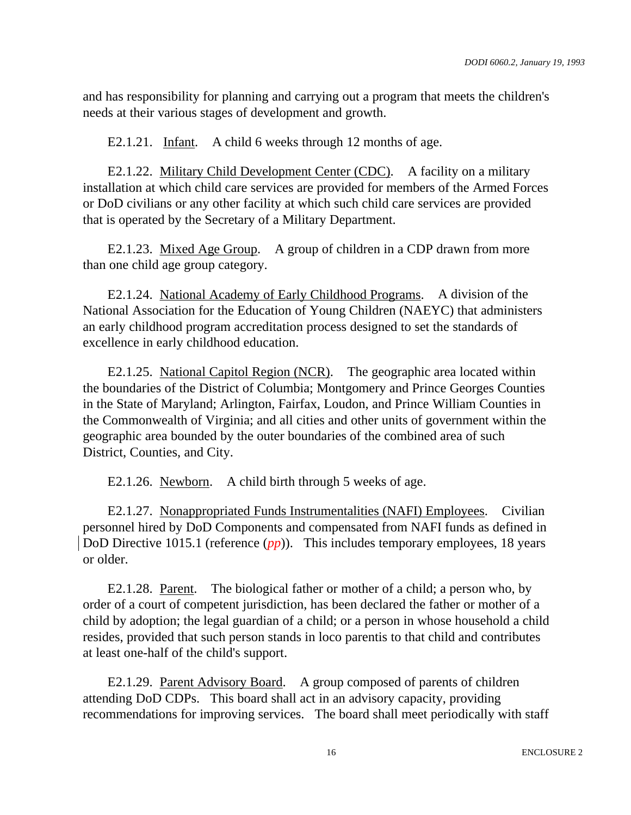and has responsibility for planning and carrying out a program that meets the children's needs at their various stages of development and growth.

E2.1.21. Infant. A child 6 weeks through 12 months of age.

E2.1.22. Military Child Development Center (CDC). A facility on a military installation at which child care services are provided for members of the Armed Forces or DoD civilians or any other facility at which such child care services are provided that is operated by the Secretary of a Military Department.

E2.1.23. Mixed Age Group. A group of children in a CDP drawn from more than one child age group category.

E2.1.24. National Academy of Early Childhood Programs. A division of the National Association for the Education of Young Children (NAEYC) that administers an early childhood program accreditation process designed to set the standards of excellence in early childhood education.

E2.1.25. National Capitol Region (NCR). The geographic area located within the boundaries of the District of Columbia; Montgomery and Prince Georges Counties in the State of Maryland; Arlington, Fairfax, Loudon, and Prince William Counties in the Commonwealth of Virginia; and all cities and other units of government within the geographic area bounded by the outer boundaries of the combined area of such District, Counties, and City.

E2.1.26. Newborn. A child birth through 5 weeks of age.

E2.1.27. Nonappropriated Funds Instrumentalities (NAFI) Employees. Civilian personnel hired by DoD Components and compensated from NAFI funds as defined in DoD Directive 1015.1 (reference (*pp*)). This includes temporary employees, 18 years or older.

E2.1.28. Parent. The biological father or mother of a child; a person who, by order of a court of competent jurisdiction, has been declared the father or mother of a child by adoption; the legal guardian of a child; or a person in whose household a child resides, provided that such person stands in loco parentis to that child and contributes at least one-half of the child's support.

E2.1.29. Parent Advisory Board. A group composed of parents of children attending DoD CDPs. This board shall act in an advisory capacity, providing recommendations for improving services. The board shall meet periodically with staff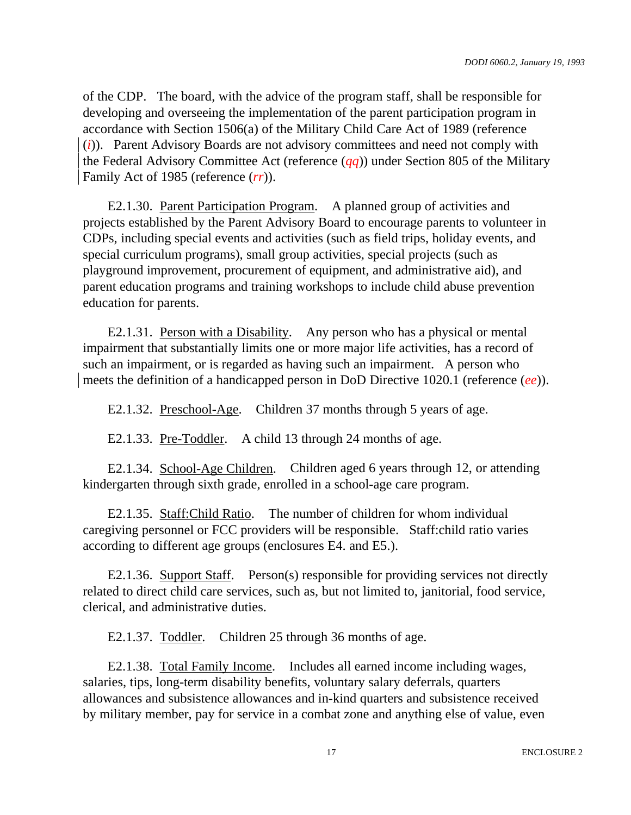of the CDP. The board, with the advice of the program staff, shall be responsible for developing and overseeing the implementation of the parent participation program in accordance with Section 1506(a) of the Military Child Care Act of 1989 (reference (*i*)). Parent Advisory Boards are not advisory committees and need not comply with the Federal Advisory Committee Act (reference (*qq*)) under Section 805 of the Military Family Act of 1985 (reference (*rr*)).

E2.1.30. Parent Participation Program. A planned group of activities and projects established by the Parent Advisory Board to encourage parents to volunteer in CDPs, including special events and activities (such as field trips, holiday events, and special curriculum programs), small group activities, special projects (such as playground improvement, procurement of equipment, and administrative aid), and parent education programs and training workshops to include child abuse prevention education for parents.

E2.1.31. Person with a Disability. Any person who has a physical or mental impairment that substantially limits one or more major life activities, has a record of such an impairment, or is regarded as having such an impairment. A person who meets the definition of a handicapped person in DoD Directive 1020.1 (reference (*ee*)).

E2.1.32. Preschool-Age. Children 37 months through 5 years of age.

E2.1.33. Pre-Toddler. A child 13 through 24 months of age.

E2.1.34. School-Age Children. Children aged 6 years through 12, or attending kindergarten through sixth grade, enrolled in a school-age care program.

E2.1.35. Staff:Child Ratio. The number of children for whom individual caregiving personnel or FCC providers will be responsible. Staff:child ratio varies according to different age groups (enclosures E4. and E5.).

E2.1.36. Support Staff. Person(s) responsible for providing services not directly related to direct child care services, such as, but not limited to, janitorial, food service, clerical, and administrative duties.

E2.1.37. Toddler. Children 25 through 36 months of age.

E2.1.38. Total Family Income. Includes all earned income including wages, salaries, tips, long-term disability benefits, voluntary salary deferrals, quarters allowances and subsistence allowances and in-kind quarters and subsistence received by military member, pay for service in a combat zone and anything else of value, even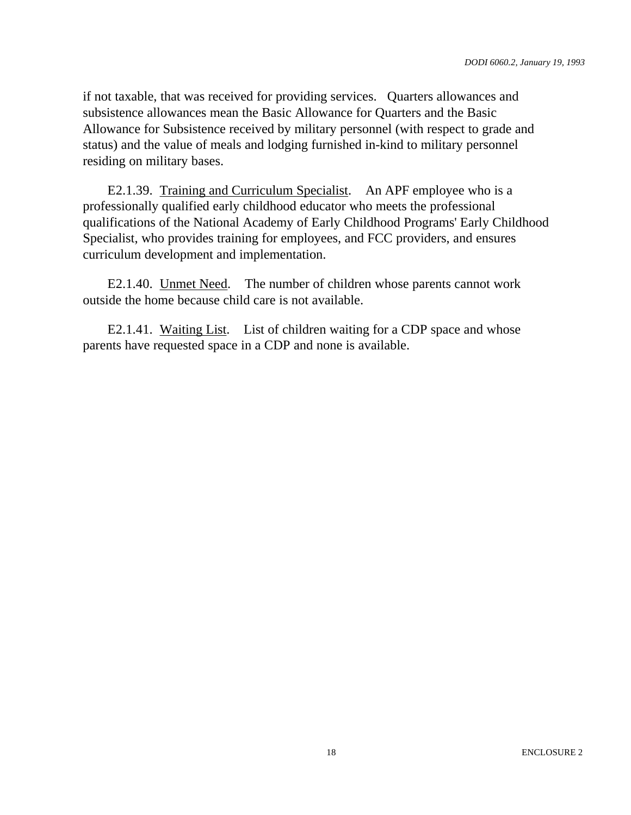if not taxable, that was received for providing services. Quarters allowances and subsistence allowances mean the Basic Allowance for Quarters and the Basic Allowance for Subsistence received by military personnel (with respect to grade and status) and the value of meals and lodging furnished in-kind to military personnel residing on military bases.

E2.1.39. Training and Curriculum Specialist. An APF employee who is a professionally qualified early childhood educator who meets the professional qualifications of the National Academy of Early Childhood Programs' Early Childhood Specialist, who provides training for employees, and FCC providers, and ensures curriculum development and implementation.

E2.1.40. Unmet Need. The number of children whose parents cannot work outside the home because child care is not available.

E2.1.41. Waiting List. List of children waiting for a CDP space and whose parents have requested space in a CDP and none is available.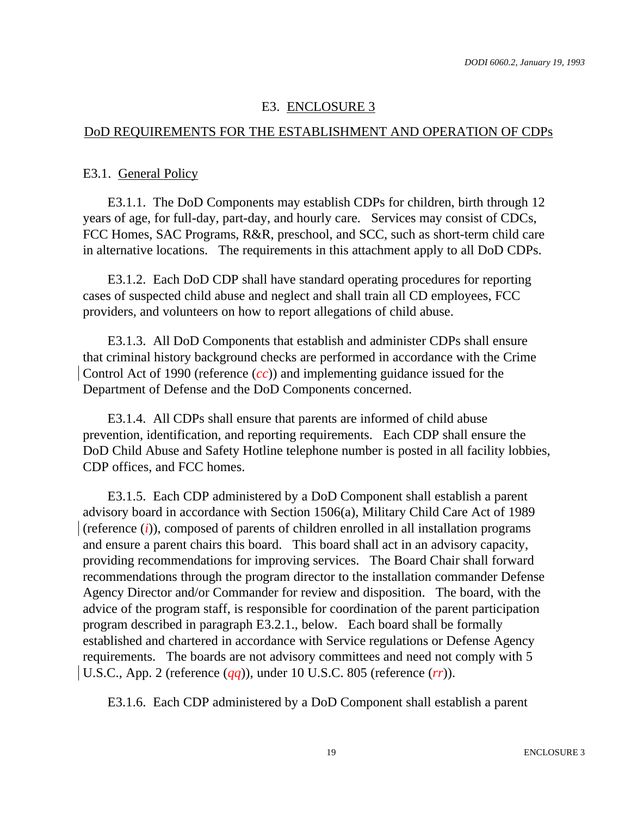## E3. ENCLOSURE 3

## DoD REQUIREMENTS FOR THE ESTABLISHMENT AND OPERATION OF CDPs

#### E3.1. General Policy

E3.1.1. The DoD Components may establish CDPs for children, birth through 12 years of age, for full-day, part-day, and hourly care. Services may consist of CDCs, FCC Homes, SAC Programs, R&R, preschool, and SCC, such as short-term child care in alternative locations. The requirements in this attachment apply to all DoD CDPs.

E3.1.2. Each DoD CDP shall have standard operating procedures for reporting cases of suspected child abuse and neglect and shall train all CD employees, FCC providers, and volunteers on how to report allegations of child abuse.

E3.1.3. All DoD Components that establish and administer CDPs shall ensure that criminal history background checks are performed in accordance with the Crime Control Act of 1990 (reference (*cc*)) and implementing guidance issued for the Department of Defense and the DoD Components concerned.

E3.1.4. All CDPs shall ensure that parents are informed of child abuse prevention, identification, and reporting requirements. Each CDP shall ensure the DoD Child Abuse and Safety Hotline telephone number is posted in all facility lobbies, CDP offices, and FCC homes.

E3.1.5. Each CDP administered by a DoD Component shall establish a parent advisory board in accordance with Section 1506(a), Military Child Care Act of 1989 (reference (*i*)), composed of parents of children enrolled in all installation programs and ensure a parent chairs this board. This board shall act in an advisory capacity, providing recommendations for improving services. The Board Chair shall forward recommendations through the program director to the installation commander Defense Agency Director and/or Commander for review and disposition. The board, with the advice of the program staff, is responsible for coordination of the parent participation program described in paragraph E3.2.1., below. Each board shall be formally established and chartered in accordance with Service regulations or Defense Agency requirements. The boards are not advisory committees and need not comply with 5 U.S.C., App. 2 (reference (*qq*)), under 10 U.S.C. 805 (reference (*rr*)).

E3.1.6. Each CDP administered by a DoD Component shall establish a parent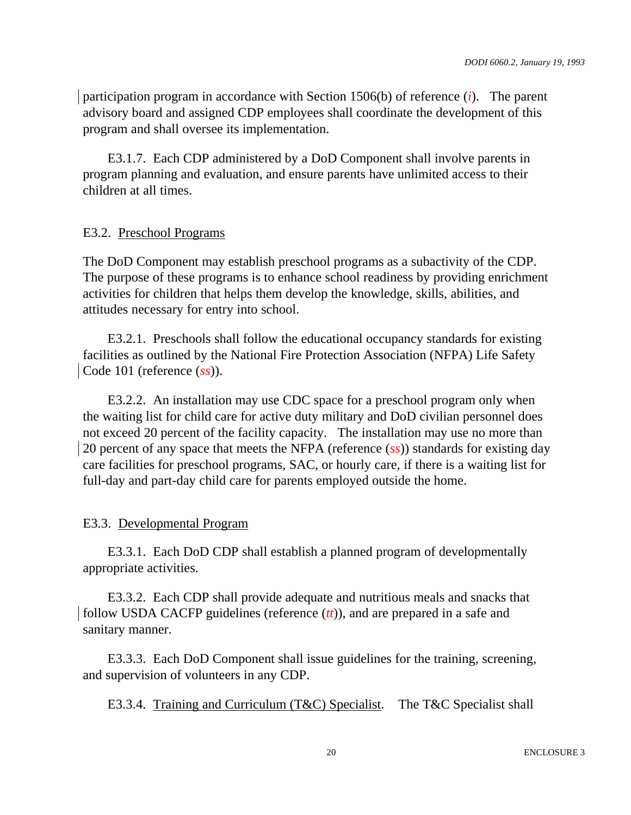participation program in accordance with Section 1506(b) of reference (*i*). The parent advisory board and assigned CDP employees shall coordinate the development of this program and shall oversee its implementation.

E3.1.7. Each CDP administered by a DoD Component shall involve parents in program planning and evaluation, and ensure parents have unlimited access to their children at all times.

#### E3.2. Preschool Programs

The DoD Component may establish preschool programs as a subactivity of the CDP. The purpose of these programs is to enhance school readiness by providing enrichment activities for children that helps them develop the knowledge, skills, abilities, and attitudes necessary for entry into school.

E3.2.1. Preschools shall follow the educational occupancy standards for existing facilities as outlined by the National Fire Protection Association (NFPA) Life Safety Code 101 (reference (*ss*)).

E3.2.2. An installation may use CDC space for a preschool program only when the waiting list for child care for active duty military and DoD civilian personnel does not exceed 20 percent of the facility capacity. The installation may use no more than 20 percent of any space that meets the NFPA (reference (*ss*)) standards for existing day care facilities for preschool programs, SAC, or hourly care, if there is a waiting list for full-day and part-day child care for parents employed outside the home.

#### E3.3. Developmental Program

E3.3.1. Each DoD CDP shall establish a planned program of developmentally appropriate activities.

E3.3.2. Each CDP shall provide adequate and nutritious meals and snacks that follow USDA CACFP guidelines (reference (*tt*)), and are prepared in a safe and sanitary manner.

E3.3.3. Each DoD Component shall issue guidelines for the training, screening, and supervision of volunteers in any CDP.

E3.3.4. Training and Curriculum (T&C) Specialist. The T&C Specialist shall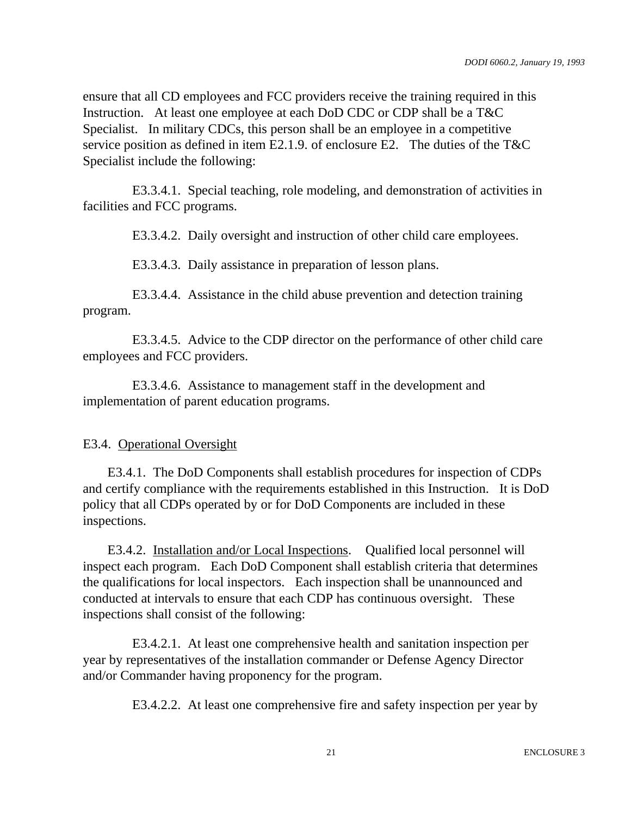ensure that all CD employees and FCC providers receive the training required in this Instruction. At least one employee at each DoD CDC or CDP shall be a T&C Specialist. In military CDCs, this person shall be an employee in a competitive service position as defined in item E2.1.9. of enclosure E2. The duties of the T&C Specialist include the following:

E3.3.4.1. Special teaching, role modeling, and demonstration of activities in facilities and FCC programs.

E3.3.4.2. Daily oversight and instruction of other child care employees.

E3.3.4.3. Daily assistance in preparation of lesson plans.

E3.3.4.4. Assistance in the child abuse prevention and detection training program.

E3.3.4.5. Advice to the CDP director on the performance of other child care employees and FCC providers.

E3.3.4.6. Assistance to management staff in the development and implementation of parent education programs.

#### E3.4. Operational Oversight

E3.4.1. The DoD Components shall establish procedures for inspection of CDPs and certify compliance with the requirements established in this Instruction. It is DoD policy that all CDPs operated by or for DoD Components are included in these inspections.

E3.4.2. Installation and/or Local Inspections. Qualified local personnel will inspect each program. Each DoD Component shall establish criteria that determines the qualifications for local inspectors. Each inspection shall be unannounced and conducted at intervals to ensure that each CDP has continuous oversight. These inspections shall consist of the following:

E3.4.2.1. At least one comprehensive health and sanitation inspection per year by representatives of the installation commander or Defense Agency Director and/or Commander having proponency for the program.

E3.4.2.2. At least one comprehensive fire and safety inspection per year by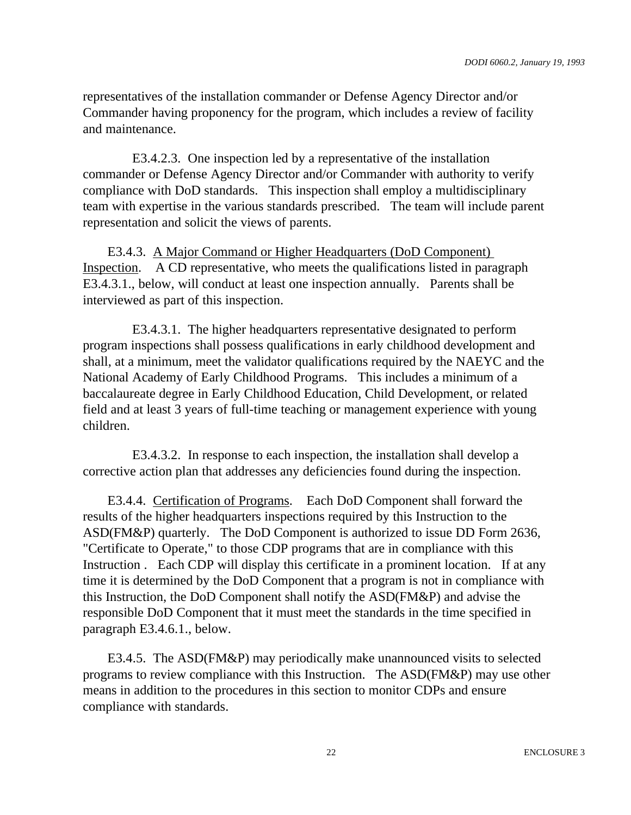representatives of the installation commander or Defense Agency Director and/or Commander having proponency for the program, which includes a review of facility and maintenance.

E3.4.2.3. One inspection led by a representative of the installation commander or Defense Agency Director and/or Commander with authority to verify compliance with DoD standards. This inspection shall employ a multidisciplinary team with expertise in the various standards prescribed. The team will include parent representation and solicit the views of parents.

E3.4.3. A Major Command or Higher Headquarters (DoD Component) Inspection. A CD representative, who meets the qualifications listed in paragraph E3.4.3.1., below, will conduct at least one inspection annually. Parents shall be interviewed as part of this inspection.

E3.4.3.1. The higher headquarters representative designated to perform program inspections shall possess qualifications in early childhood development and shall, at a minimum, meet the validator qualifications required by the NAEYC and the National Academy of Early Childhood Programs. This includes a minimum of a baccalaureate degree in Early Childhood Education, Child Development, or related field and at least 3 years of full-time teaching or management experience with young children.

E3.4.3.2. In response to each inspection, the installation shall develop a corrective action plan that addresses any deficiencies found during the inspection.

E3.4.4. Certification of Programs. Each DoD Component shall forward the results of the higher headquarters inspections required by this Instruction to the ASD(FM&P) quarterly. The DoD Component is authorized to issue DD Form 2636, "Certificate to Operate," to those CDP programs that are in compliance with this Instruction . Each CDP will display this certificate in a prominent location. If at any time it is determined by the DoD Component that a program is not in compliance with this Instruction, the DoD Component shall notify the ASD(FM&P) and advise the responsible DoD Component that it must meet the standards in the time specified in paragraph E3.4.6.1., below.

E3.4.5. The ASD(FM&P) may periodically make unannounced visits to selected programs to review compliance with this Instruction. The ASD(FM&P) may use other means in addition to the procedures in this section to monitor CDPs and ensure compliance with standards.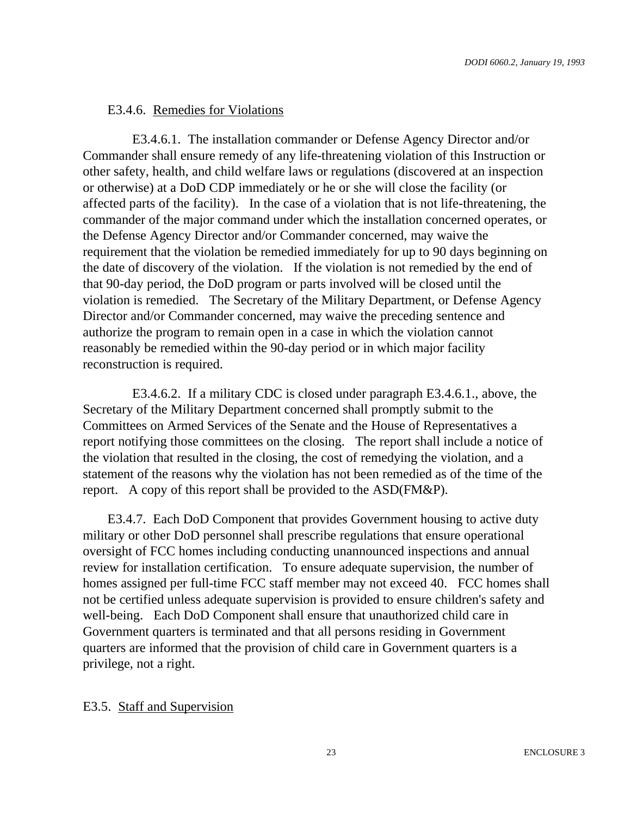## E3.4.6. Remedies for Violations

E3.4.6.1. The installation commander or Defense Agency Director and/or Commander shall ensure remedy of any life-threatening violation of this Instruction or other safety, health, and child welfare laws or regulations (discovered at an inspection or otherwise) at a DoD CDP immediately or he or she will close the facility (or affected parts of the facility). In the case of a violation that is not life-threatening, the commander of the major command under which the installation concerned operates, or the Defense Agency Director and/or Commander concerned, may waive the requirement that the violation be remedied immediately for up to 90 days beginning on the date of discovery of the violation. If the violation is not remedied by the end of that 90-day period, the DoD program or parts involved will be closed until the violation is remedied. The Secretary of the Military Department, or Defense Agency Director and/or Commander concerned, may waive the preceding sentence and authorize the program to remain open in a case in which the violation cannot reasonably be remedied within the 90-day period or in which major facility reconstruction is required.

E3.4.6.2. If a military CDC is closed under paragraph E3.4.6.1., above, the Secretary of the Military Department concerned shall promptly submit to the Committees on Armed Services of the Senate and the House of Representatives a report notifying those committees on the closing. The report shall include a notice of the violation that resulted in the closing, the cost of remedying the violation, and a statement of the reasons why the violation has not been remedied as of the time of the report. A copy of this report shall be provided to the ASD(FM&P).

E3.4.7. Each DoD Component that provides Government housing to active duty military or other DoD personnel shall prescribe regulations that ensure operational oversight of FCC homes including conducting unannounced inspections and annual review for installation certification. To ensure adequate supervision, the number of homes assigned per full-time FCC staff member may not exceed 40. FCC homes shall not be certified unless adequate supervision is provided to ensure children's safety and well-being. Each DoD Component shall ensure that unauthorized child care in Government quarters is terminated and that all persons residing in Government quarters are informed that the provision of child care in Government quarters is a privilege, not a right.

#### E3.5. Staff and Supervision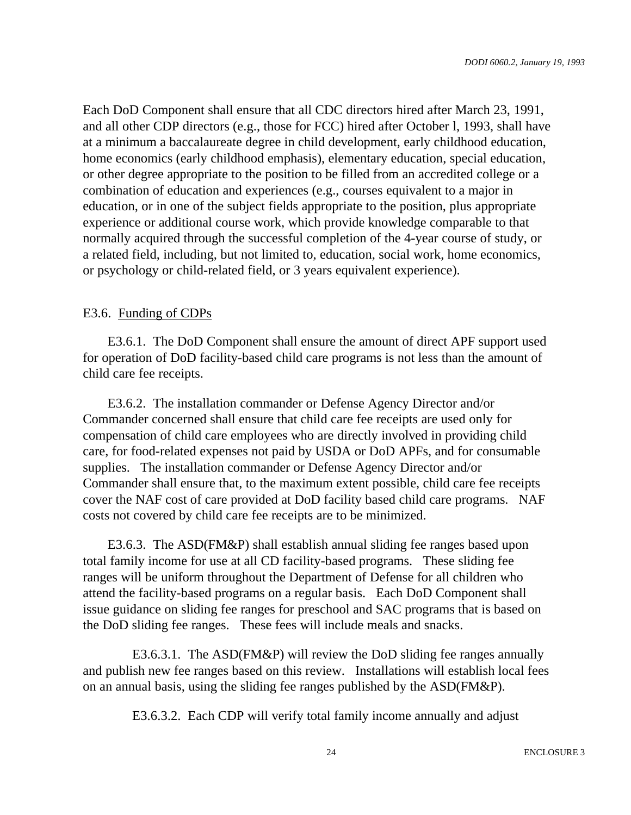Each DoD Component shall ensure that all CDC directors hired after March 23, 1991, and all other CDP directors (e.g., those for FCC) hired after October l, 1993, shall have at a minimum a baccalaureate degree in child development, early childhood education, home economics (early childhood emphasis), elementary education, special education, or other degree appropriate to the position to be filled from an accredited college or a combination of education and experiences (e.g., courses equivalent to a major in education, or in one of the subject fields appropriate to the position, plus appropriate experience or additional course work, which provide knowledge comparable to that normally acquired through the successful completion of the 4-year course of study, or a related field, including, but not limited to, education, social work, home economics, or psychology or child-related field, or 3 years equivalent experience).

#### E3.6. Funding of CDPs

E3.6.1. The DoD Component shall ensure the amount of direct APF support used for operation of DoD facility-based child care programs is not less than the amount of child care fee receipts.

E3.6.2. The installation commander or Defense Agency Director and/or Commander concerned shall ensure that child care fee receipts are used only for compensation of child care employees who are directly involved in providing child care, for food-related expenses not paid by USDA or DoD APFs, and for consumable supplies. The installation commander or Defense Agency Director and/or Commander shall ensure that, to the maximum extent possible, child care fee receipts cover the NAF cost of care provided at DoD facility based child care programs. NAF costs not covered by child care fee receipts are to be minimized.

E3.6.3. The ASD(FM&P) shall establish annual sliding fee ranges based upon total family income for use at all CD facility-based programs. These sliding fee ranges will be uniform throughout the Department of Defense for all children who attend the facility-based programs on a regular basis. Each DoD Component shall issue guidance on sliding fee ranges for preschool and SAC programs that is based on the DoD sliding fee ranges. These fees will include meals and snacks.

E3.6.3.1. The ASD(FM&P) will review the DoD sliding fee ranges annually and publish new fee ranges based on this review. Installations will establish local fees on an annual basis, using the sliding fee ranges published by the ASD(FM&P).

E3.6.3.2. Each CDP will verify total family income annually and adjust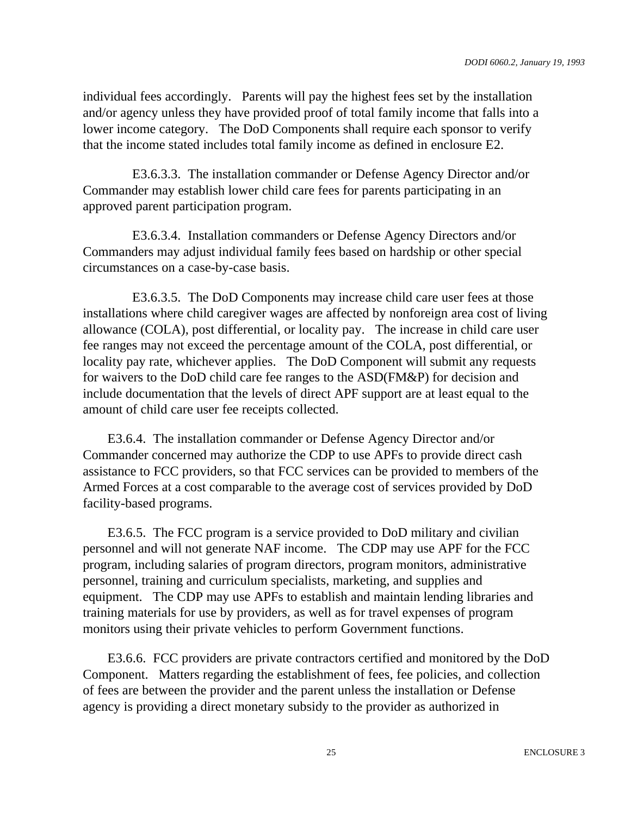individual fees accordingly. Parents will pay the highest fees set by the installation and/or agency unless they have provided proof of total family income that falls into a lower income category. The DoD Components shall require each sponsor to verify that the income stated includes total family income as defined in enclosure E2.

E3.6.3.3. The installation commander or Defense Agency Director and/or Commander may establish lower child care fees for parents participating in an approved parent participation program.

E3.6.3.4. Installation commanders or Defense Agency Directors and/or Commanders may adjust individual family fees based on hardship or other special circumstances on a case-by-case basis.

E3.6.3.5. The DoD Components may increase child care user fees at those installations where child caregiver wages are affected by nonforeign area cost of living allowance (COLA), post differential, or locality pay. The increase in child care user fee ranges may not exceed the percentage amount of the COLA, post differential, or locality pay rate, whichever applies. The DoD Component will submit any requests for waivers to the DoD child care fee ranges to the ASD(FM&P) for decision and include documentation that the levels of direct APF support are at least equal to the amount of child care user fee receipts collected.

E3.6.4. The installation commander or Defense Agency Director and/or Commander concerned may authorize the CDP to use APFs to provide direct cash assistance to FCC providers, so that FCC services can be provided to members of the Armed Forces at a cost comparable to the average cost of services provided by DoD facility-based programs.

E3.6.5. The FCC program is a service provided to DoD military and civilian personnel and will not generate NAF income. The CDP may use APF for the FCC program, including salaries of program directors, program monitors, administrative personnel, training and curriculum specialists, marketing, and supplies and equipment. The CDP may use APFs to establish and maintain lending libraries and training materials for use by providers, as well as for travel expenses of program monitors using their private vehicles to perform Government functions.

E3.6.6. FCC providers are private contractors certified and monitored by the DoD Component. Matters regarding the establishment of fees, fee policies, and collection of fees are between the provider and the parent unless the installation or Defense agency is providing a direct monetary subsidy to the provider as authorized in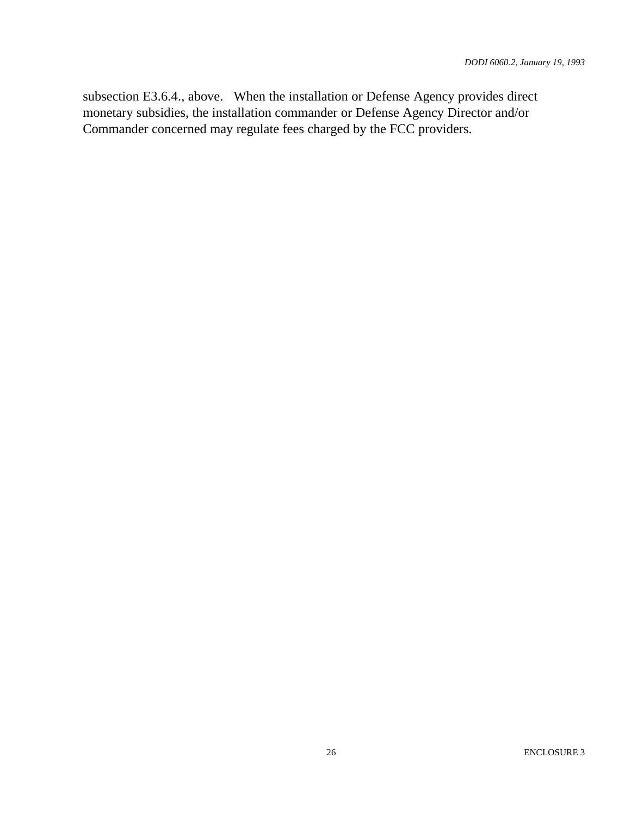subsection E3.6.4., above. When the installation or Defense Agency provides direct monetary subsidies, the installation commander or Defense Agency Director and/or Commander concerned may regulate fees charged by the FCC providers.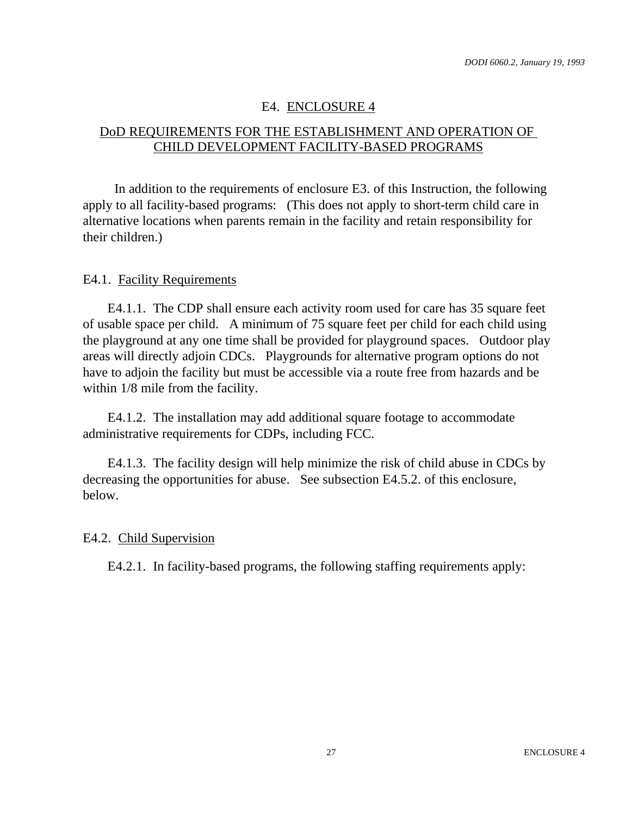## E4. ENCLOSURE 4

## DoD REQUIREMENTS FOR THE ESTABLISHMENT AND OPERATION OF CHILD DEVELOPMENT FACILITY-BASED PROGRAMS

In addition to the requirements of enclosure E3. of this Instruction, the following apply to all facility-based programs: (This does not apply to short-term child care in alternative locations when parents remain in the facility and retain responsibility for their children.)

#### E4.1. Facility Requirements

E4.1.1. The CDP shall ensure each activity room used for care has 35 square feet of usable space per child. A minimum of 75 square feet per child for each child using the playground at any one time shall be provided for playground spaces. Outdoor play areas will directly adjoin CDCs. Playgrounds for alternative program options do not have to adjoin the facility but must be accessible via a route free from hazards and be within 1/8 mile from the facility.

E4.1.2. The installation may add additional square footage to accommodate administrative requirements for CDPs, including FCC.

E4.1.3. The facility design will help minimize the risk of child abuse in CDCs by decreasing the opportunities for abuse. See subsection E4.5.2. of this enclosure, below.

#### E4.2. Child Supervision

E4.2.1. In facility-based programs, the following staffing requirements apply: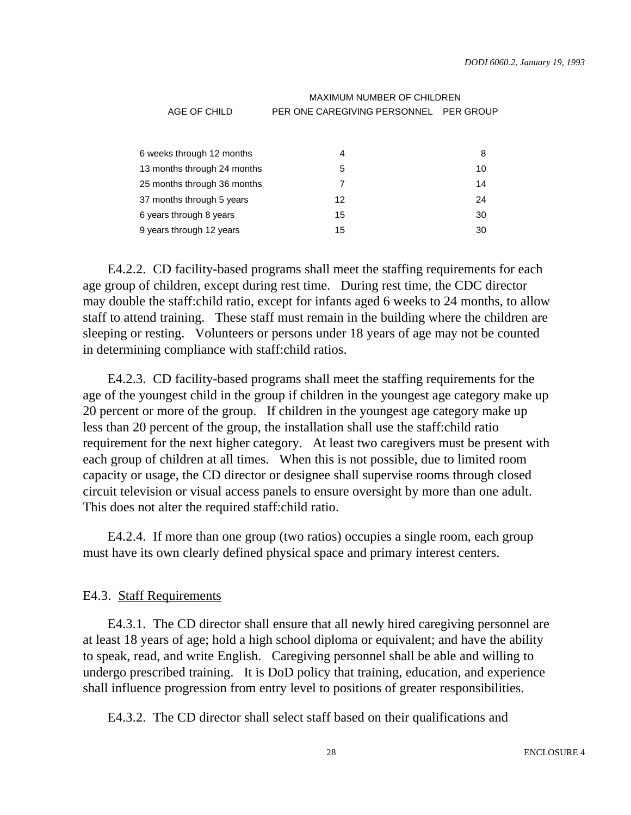|                             | <b>MAXIMUM NUMBER OF CHILDREN</b>      |    |  |  |  |  |  |
|-----------------------------|----------------------------------------|----|--|--|--|--|--|
| AGE OF CHILD                | PER ONE CAREGIVING PERSONNEL PER GROUP |    |  |  |  |  |  |
|                             |                                        |    |  |  |  |  |  |
| 6 weeks through 12 months   | 4                                      | 8  |  |  |  |  |  |
| 13 months through 24 months | 5                                      | 10 |  |  |  |  |  |
| 25 months through 36 months | 7                                      | 14 |  |  |  |  |  |
| 37 months through 5 years   | 12                                     | 24 |  |  |  |  |  |
| 6 years through 8 years     | 15                                     | 30 |  |  |  |  |  |
| 9 years through 12 years    | 15                                     | 30 |  |  |  |  |  |

E4.2.2. CD facility-based programs shall meet the staffing requirements for each age group of children, except during rest time. During rest time, the CDC director may double the staff:child ratio, except for infants aged 6 weeks to 24 months, to allow staff to attend training. These staff must remain in the building where the children are sleeping or resting. Volunteers or persons under 18 years of age may not be counted in determining compliance with staff:child ratios.

E4.2.3. CD facility-based programs shall meet the staffing requirements for the age of the youngest child in the group if children in the youngest age category make up 20 percent or more of the group. If children in the youngest age category make up less than 20 percent of the group, the installation shall use the staff:child ratio requirement for the next higher category. At least two caregivers must be present with each group of children at all times. When this is not possible, due to limited room capacity or usage, the CD director or designee shall supervise rooms through closed circuit television or visual access panels to ensure oversight by more than one adult. This does not alter the required staff:child ratio.

E4.2.4. If more than one group (two ratios) occupies a single room, each group must have its own clearly defined physical space and primary interest centers.

#### E4.3. Staff Requirements

E4.3.1. The CD director shall ensure that all newly hired caregiving personnel are at least 18 years of age; hold a high school diploma or equivalent; and have the ability to speak, read, and write English. Caregiving personnel shall be able and willing to undergo prescribed training. It is DoD policy that training, education, and experience shall influence progression from entry level to positions of greater responsibilities.

E4.3.2. The CD director shall select staff based on their qualifications and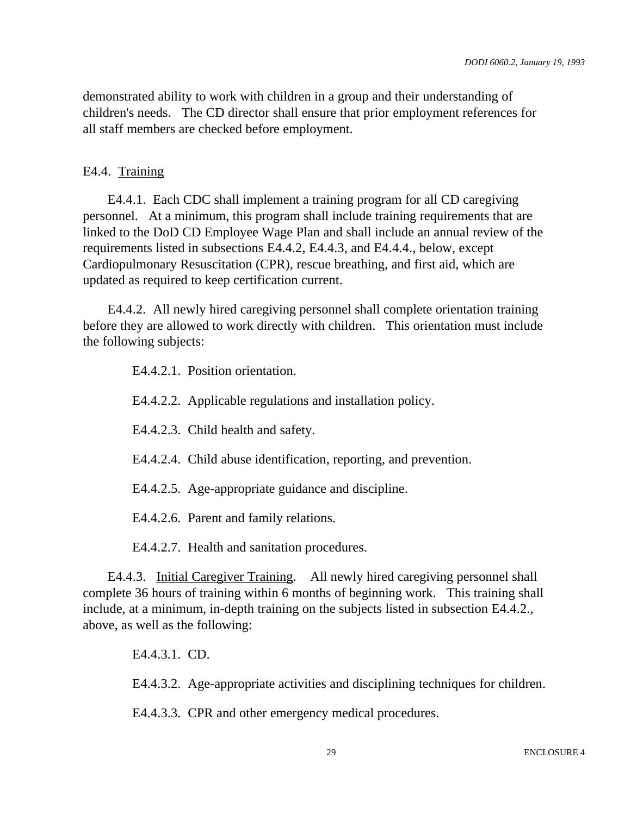demonstrated ability to work with children in a group and their understanding of children's needs. The CD director shall ensure that prior employment references for all staff members are checked before employment.

#### E4.4. Training

E4.4.1. Each CDC shall implement a training program for all CD caregiving personnel. At a minimum, this program shall include training requirements that are linked to the DoD CD Employee Wage Plan and shall include an annual review of the requirements listed in subsections E4.4.2, E4.4.3, and E4.4.4., below, except Cardiopulmonary Resuscitation (CPR), rescue breathing, and first aid, which are updated as required to keep certification current.

E4.4.2. All newly hired caregiving personnel shall complete orientation training before they are allowed to work directly with children. This orientation must include the following subjects:

| E4.4.2.1. Position orientation. |  |
|---------------------------------|--|
|---------------------------------|--|

- E4.4.2.2. Applicable regulations and installation policy.
- E4.4.2.3. Child health and safety.
- E4.4.2.4. Child abuse identification, reporting, and prevention.
- E4.4.2.5. Age-appropriate guidance and discipline.
- E4.4.2.6. Parent and family relations.

E4.4.2.7. Health and sanitation procedures.

E4.4.3. Initial Caregiver Training. All newly hired caregiving personnel shall complete 36 hours of training within 6 months of beginning work. This training shall include, at a minimum, in-depth training on the subjects listed in subsection E4.4.2., above, as well as the following:

E4.4.3.1. CD.

E4.4.3.2. Age-appropriate activities and disciplining techniques for children.

E4.4.3.3. CPR and other emergency medical procedures.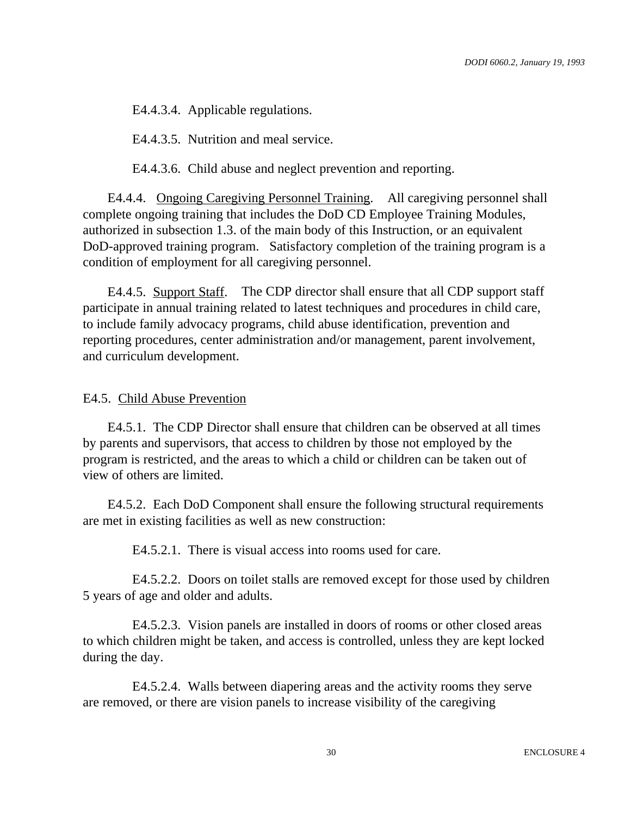E4.4.3.4. Applicable regulations.

E4.4.3.5. Nutrition and meal service.

E4.4.3.6. Child abuse and neglect prevention and reporting.

E4.4.4. Ongoing Caregiving Personnel Training. All caregiving personnel shall complete ongoing training that includes the DoD CD Employee Training Modules, authorized in subsection 1.3. of the main body of this Instruction, or an equivalent DoD-approved training program. Satisfactory completion of the training program is a condition of employment for all caregiving personnel.

E4.4.5. Support Staff. The CDP director shall ensure that all CDP support staff participate in annual training related to latest techniques and procedures in child care, to include family advocacy programs, child abuse identification, prevention and reporting procedures, center administration and/or management, parent involvement, and curriculum development.

#### E4.5. Child Abuse Prevention

E4.5.1. The CDP Director shall ensure that children can be observed at all times by parents and supervisors, that access to children by those not employed by the program is restricted, and the areas to which a child or children can be taken out of view of others are limited.

E4.5.2. Each DoD Component shall ensure the following structural requirements are met in existing facilities as well as new construction:

E4.5.2.1. There is visual access into rooms used for care.

E4.5.2.2. Doors on toilet stalls are removed except for those used by children 5 years of age and older and adults.

E4.5.2.3. Vision panels are installed in doors of rooms or other closed areas to which children might be taken, and access is controlled, unless they are kept locked during the day.

E4.5.2.4. Walls between diapering areas and the activity rooms they serve are removed, or there are vision panels to increase visibility of the caregiving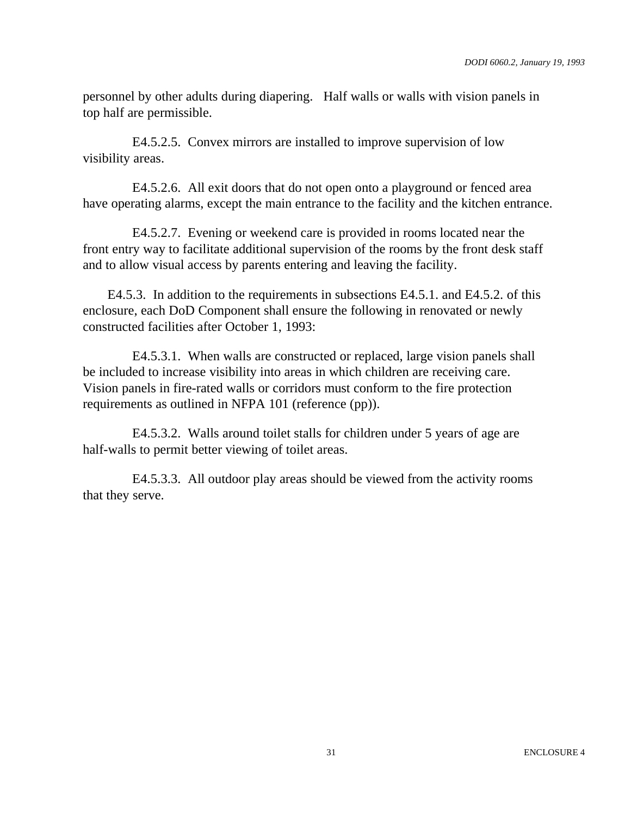personnel by other adults during diapering. Half walls or walls with vision panels in top half are permissible.

E4.5.2.5. Convex mirrors are installed to improve supervision of low visibility areas.

E4.5.2.6. All exit doors that do not open onto a playground or fenced area have operating alarms, except the main entrance to the facility and the kitchen entrance.

E4.5.2.7. Evening or weekend care is provided in rooms located near the front entry way to facilitate additional supervision of the rooms by the front desk staff and to allow visual access by parents entering and leaving the facility.

E4.5.3. In addition to the requirements in subsections E4.5.1. and E4.5.2. of this enclosure, each DoD Component shall ensure the following in renovated or newly constructed facilities after October 1, 1993:

E4.5.3.1. When walls are constructed or replaced, large vision panels shall be included to increase visibility into areas in which children are receiving care. Vision panels in fire-rated walls or corridors must conform to the fire protection requirements as outlined in NFPA 101 (reference (pp)).

E4.5.3.2. Walls around toilet stalls for children under 5 years of age are half-walls to permit better viewing of toilet areas.

E4.5.3.3. All outdoor play areas should be viewed from the activity rooms that they serve.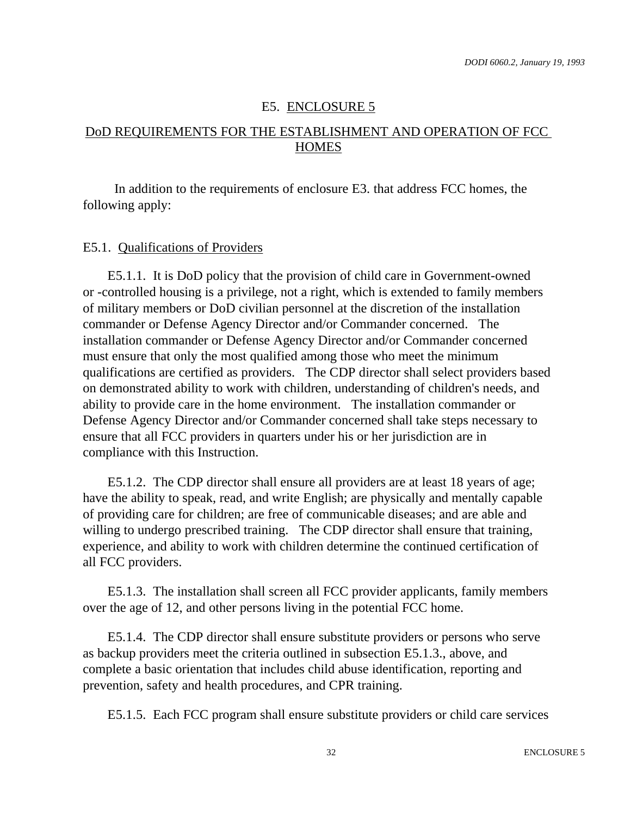#### E5. ENCLOSURE 5

## DoD REQUIREMENTS FOR THE ESTABLISHMENT AND OPERATION OF FCC **HOMES**

In addition to the requirements of enclosure E3. that address FCC homes, the following apply:

#### E5.1. Qualifications of Providers

E5.1.1. It is DoD policy that the provision of child care in Government-owned or -controlled housing is a privilege, not a right, which is extended to family members of military members or DoD civilian personnel at the discretion of the installation commander or Defense Agency Director and/or Commander concerned. The installation commander or Defense Agency Director and/or Commander concerned must ensure that only the most qualified among those who meet the minimum qualifications are certified as providers. The CDP director shall select providers based on demonstrated ability to work with children, understanding of children's needs, and ability to provide care in the home environment. The installation commander or Defense Agency Director and/or Commander concerned shall take steps necessary to ensure that all FCC providers in quarters under his or her jurisdiction are in compliance with this Instruction.

E5.1.2. The CDP director shall ensure all providers are at least 18 years of age; have the ability to speak, read, and write English; are physically and mentally capable of providing care for children; are free of communicable diseases; and are able and willing to undergo prescribed training. The CDP director shall ensure that training, experience, and ability to work with children determine the continued certification of all FCC providers.

E5.1.3. The installation shall screen all FCC provider applicants, family members over the age of 12, and other persons living in the potential FCC home.

E5.1.4. The CDP director shall ensure substitute providers or persons who serve as backup providers meet the criteria outlined in subsection E5.1.3., above, and complete a basic orientation that includes child abuse identification, reporting and prevention, safety and health procedures, and CPR training.

E5.1.5. Each FCC program shall ensure substitute providers or child care services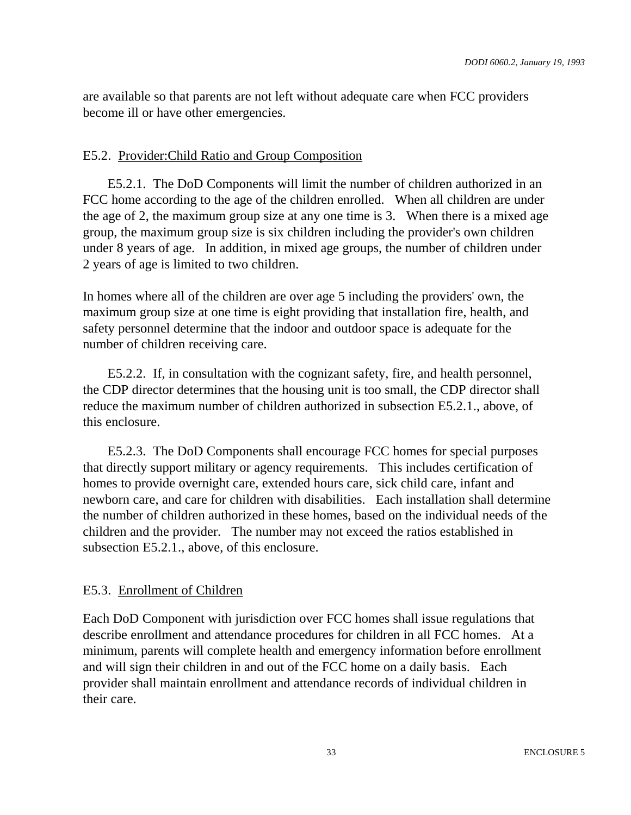are available so that parents are not left without adequate care when FCC providers become ill or have other emergencies.

#### E5.2. Provider:Child Ratio and Group Composition

E5.2.1. The DoD Components will limit the number of children authorized in an FCC home according to the age of the children enrolled. When all children are under the age of 2, the maximum group size at any one time is 3. When there is a mixed age group, the maximum group size is six children including the provider's own children under 8 years of age. In addition, in mixed age groups, the number of children under 2 years of age is limited to two children.

In homes where all of the children are over age 5 including the providers' own, the maximum group size at one time is eight providing that installation fire, health, and safety personnel determine that the indoor and outdoor space is adequate for the number of children receiving care.

E5.2.2. If, in consultation with the cognizant safety, fire, and health personnel, the CDP director determines that the housing unit is too small, the CDP director shall reduce the maximum number of children authorized in subsection E5.2.1., above, of this enclosure.

E5.2.3. The DoD Components shall encourage FCC homes for special purposes that directly support military or agency requirements. This includes certification of homes to provide overnight care, extended hours care, sick child care, infant and newborn care, and care for children with disabilities. Each installation shall determine the number of children authorized in these homes, based on the individual needs of the children and the provider. The number may not exceed the ratios established in subsection E5.2.1., above, of this enclosure.

#### E5.3. Enrollment of Children

Each DoD Component with jurisdiction over FCC homes shall issue regulations that describe enrollment and attendance procedures for children in all FCC homes. At a minimum, parents will complete health and emergency information before enrollment and will sign their children in and out of the FCC home on a daily basis. Each provider shall maintain enrollment and attendance records of individual children in their care.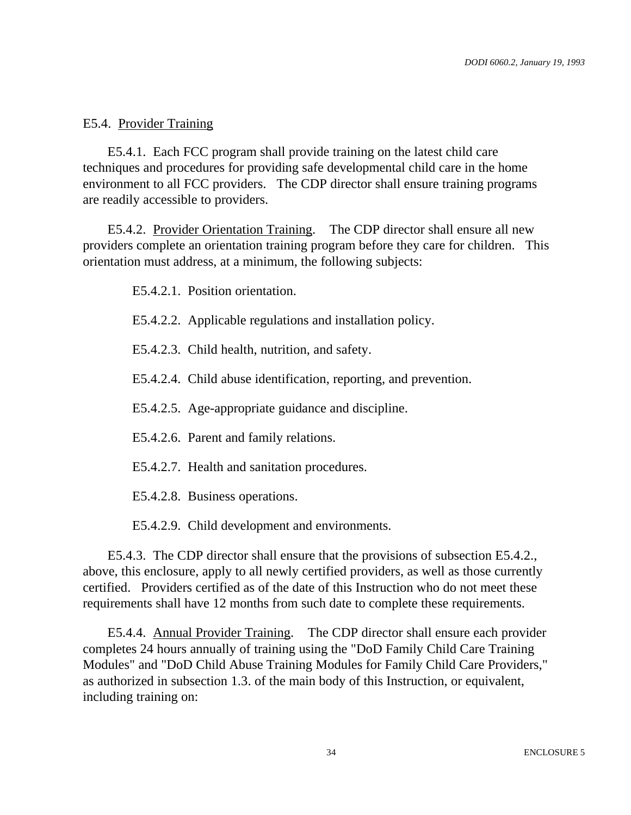#### E5.4. Provider Training

E5.4.1. Each FCC program shall provide training on the latest child care techniques and procedures for providing safe developmental child care in the home environment to all FCC providers. The CDP director shall ensure training programs are readily accessible to providers.

E5.4.2. Provider Orientation Training. The CDP director shall ensure all new providers complete an orientation training program before they care for children. This orientation must address, at a minimum, the following subjects:

E5.4.2.1. Position orientation.

- E5.4.2.2. Applicable regulations and installation policy.
- E5.4.2.3. Child health, nutrition, and safety.
- E5.4.2.4. Child abuse identification, reporting, and prevention.
- E5.4.2.5. Age-appropriate guidance and discipline.
- E5.4.2.6. Parent and family relations.
- E5.4.2.7. Health and sanitation procedures.
- E5.4.2.8. Business operations.

E5.4.2.9. Child development and environments.

E5.4.3. The CDP director shall ensure that the provisions of subsection E5.4.2., above, this enclosure, apply to all newly certified providers, as well as those currently certified. Providers certified as of the date of this Instruction who do not meet these requirements shall have 12 months from such date to complete these requirements.

E5.4.4. Annual Provider Training. The CDP director shall ensure each provider completes 24 hours annually of training using the "DoD Family Child Care Training Modules" and "DoD Child Abuse Training Modules for Family Child Care Providers," as authorized in subsection 1.3. of the main body of this Instruction, or equivalent, including training on: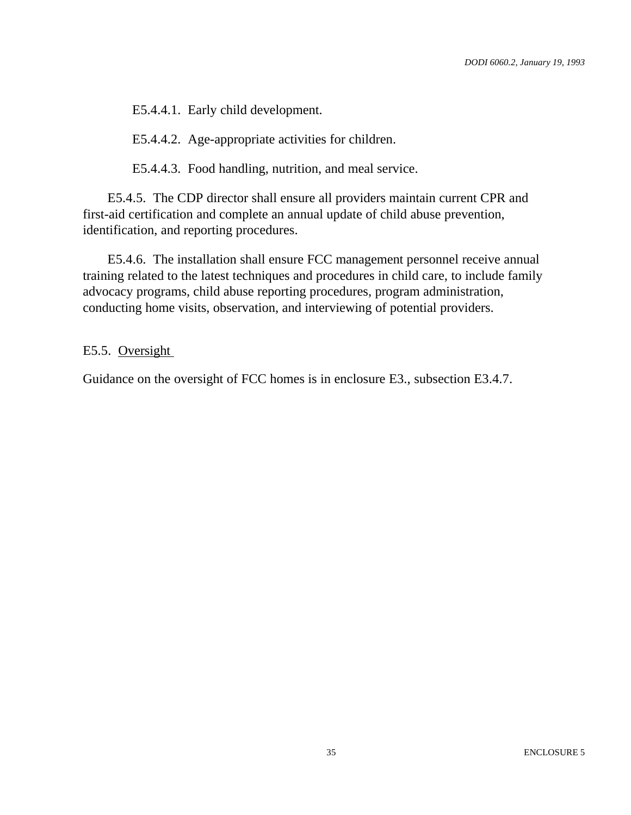E5.4.4.1. Early child development.

E5.4.4.2. Age-appropriate activities for children.

E5.4.4.3. Food handling, nutrition, and meal service.

E5.4.5. The CDP director shall ensure all providers maintain current CPR and first-aid certification and complete an annual update of child abuse prevention, identification, and reporting procedures.

E5.4.6. The installation shall ensure FCC management personnel receive annual training related to the latest techniques and procedures in child care, to include family advocacy programs, child abuse reporting procedures, program administration, conducting home visits, observation, and interviewing of potential providers.

#### E5.5. Oversight

Guidance on the oversight of FCC homes is in enclosure E3., subsection E3.4.7.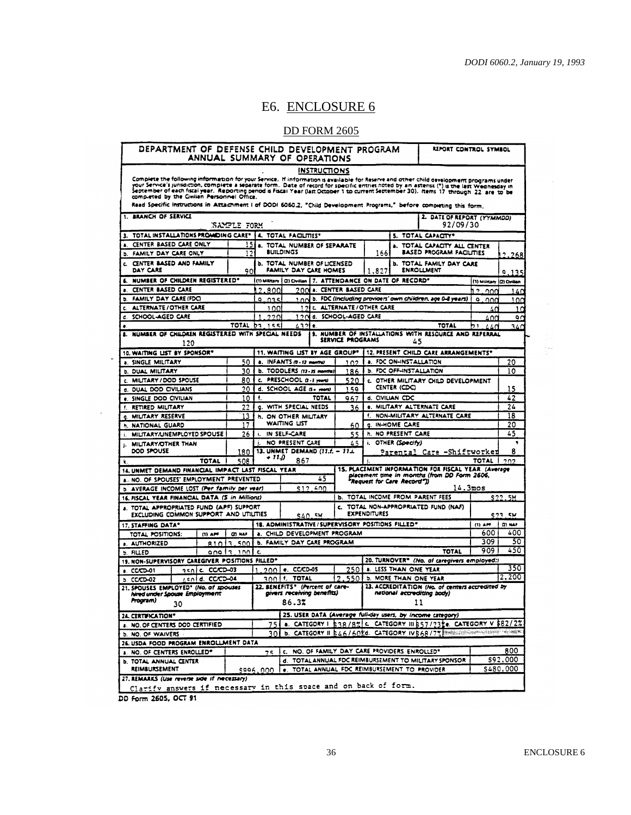$\frac{1}{2} \frac{d\phi}{dt}$ 

## E6. ENCLOSURE 6

#### DD FORM 2605

| ANNUAL SUMMARY OF OPERATIONS                                                                                                                                                                                                                                                                                                                                                                                                                                                                                                                              |                    |                                                                                                      | DEPARTMENT OF DEFENSE CHILD DEVELOPMENT PROGRAM                        |                     |                                                      |                     |                                               |                                                                               | REPORT CONTROL SYMBOL      |                                                                            |
|-----------------------------------------------------------------------------------------------------------------------------------------------------------------------------------------------------------------------------------------------------------------------------------------------------------------------------------------------------------------------------------------------------------------------------------------------------------------------------------------------------------------------------------------------------------|--------------------|------------------------------------------------------------------------------------------------------|------------------------------------------------------------------------|---------------------|------------------------------------------------------|---------------------|-----------------------------------------------|-------------------------------------------------------------------------------|----------------------------|----------------------------------------------------------------------------|
|                                                                                                                                                                                                                                                                                                                                                                                                                                                                                                                                                           |                    |                                                                                                      |                                                                        | <b>INSTRUCTIONS</b> |                                                      |                     |                                               |                                                                               |                            |                                                                            |
| Complete the following information for your Service. If information is available for Reserve and other child development programs under<br>your Service's jurisdiction, complete a separate form. Date of record for specific entries noted by an asterist (*) is the last Wednesday in<br>September of each fiscal year. Reporting penod is Fiscal Year (last October 1 to current September 30). Items 17 through 22 are to be<br>Read Specific Instructions in Attachment I of DODI 6060.2, "Child Development Programs," before completing this form, |                    |                                                                                                      |                                                                        |                     |                                                      |                     |                                               |                                                                               |                            |                                                                            |
| 1. ARANCH OF SERVICE                                                                                                                                                                                                                                                                                                                                                                                                                                                                                                                                      |                    |                                                                                                      |                                                                        |                     |                                                      |                     |                                               | 2. DATE OF REPORT (YYMMDD)                                                    |                            |                                                                            |
|                                                                                                                                                                                                                                                                                                                                                                                                                                                                                                                                                           | <b>SAMPLE FORM</b> |                                                                                                      |                                                                        |                     |                                                      |                     |                                               | 92/09/30                                                                      |                            |                                                                            |
| 3. TOTAL INSTALLATIONS PROMIDING CARE®   4. TOTAL FACILITIES®<br>CENTER BASED CARE ONLY<br>a.                                                                                                                                                                                                                                                                                                                                                                                                                                                             | 151                |                                                                                                      |                                                                        |                     |                                                      |                     |                                               | 5. TOTAL CAPACITY®                                                            |                            |                                                                            |
| FAMILY DAY CARE ONLY<br>b.                                                                                                                                                                                                                                                                                                                                                                                                                                                                                                                                | 12                 | <b>a. TOTAL NUMBER OF SEPARATE</b><br><b>a. TOTAL CAPACITY ALL CENTER</b><br><b>BUILDINGS</b><br>166 |                                                                        |                     | BASED PROGRAM FACILITIES                             |                     | 2.268                                         |                                                                               |                            |                                                                            |
| C. CENTER BASED AND FAMILY<br>DAY CARE                                                                                                                                                                                                                                                                                                                                                                                                                                                                                                                    | 901                |                                                                                                      | <b>b. TOTAL NUMBER OF LICENSED</b><br>FAMILY DAY CARE HOMES<br>1,827   |                     | <b>b. TOTAL FAMILY DAY CARE</b><br><b>ENROLLMENT</b> |                     | 9.135                                         |                                                                               |                            |                                                                            |
| 6. NUMBER OF CHILDREN REGISTERED*                                                                                                                                                                                                                                                                                                                                                                                                                                                                                                                         |                    |                                                                                                      | (1) Military   (2) Civilian   7. ATTENDANCE ON DATE OF RECORD"         |                     |                                                      |                     |                                               |                                                                               | (1) Military ((2) Civilian |                                                                            |
| CENTER BASED CARE                                                                                                                                                                                                                                                                                                                                                                                                                                                                                                                                         |                    | ,<br>800                                                                                             |                                                                        |                     | 200 a. CENTER BASED CARE                             |                     |                                               |                                                                               | 12<br>ാററ                  | 140                                                                        |
| FAMILY DAY CARE (FDC)<br>b.                                                                                                                                                                                                                                                                                                                                                                                                                                                                                                                               |                    | 9.035                                                                                                |                                                                        |                     |                                                      |                     |                                               | 1 not b. FDC (including providers' own children, age 0-8 years)               | ۰<br>ഛ                     | 100                                                                        |
| ALTERNATE/OTHER CARE                                                                                                                                                                                                                                                                                                                                                                                                                                                                                                                                      |                    | 100                                                                                                  | 121                                                                    |                     | <b>C. ALTERNATE/OTHER CARE</b>                       |                     |                                               |                                                                               | 40                         |                                                                            |
| SCHOOL-AGED CARE<br>e.                                                                                                                                                                                                                                                                                                                                                                                                                                                                                                                                    |                    | 2201                                                                                                 | 12N                                                                    |                     | d. SCHOOL-AGED CARE                                  |                     |                                               |                                                                               | 40d                        |                                                                            |
| ٠                                                                                                                                                                                                                                                                                                                                                                                                                                                                                                                                                         |                    | TOTAL b2 155                                                                                         | 4321                                                                   | ÷.                  |                                                      |                     |                                               | TOTAL                                                                         | h١<br>440                  | 340                                                                        |
| 8. NUMBER OF CHILDREN REGISTERED WITH SPECIAL NEEDS<br>120                                                                                                                                                                                                                                                                                                                                                                                                                                                                                                |                    |                                                                                                      |                                                                        |                     | SERVICE PROGRAMS                                     |                     | 45                                            | 9. NUMBER OF INSTALLATIONS WITH RESOURCE AND REFERRAL                         |                            |                                                                            |
| 10. WAITING LIST BY SPONSOR®                                                                                                                                                                                                                                                                                                                                                                                                                                                                                                                              |                    |                                                                                                      | 11. WAITING LIST BY AGE GROUP*                                         |                     |                                                      |                     |                                               | 12. PRESENT CHILD CARE ARRANGEMENTS*                                          |                            |                                                                            |
| <b>a. SINGLE MILITARY</b>                                                                                                                                                                                                                                                                                                                                                                                                                                                                                                                                 | 50                 |                                                                                                      | a. INFANTS (0 - 12 months)                                             |                     | 102                                                  |                     | <b>a. FDC ON-INSTALLATION</b>                 |                                                                               |                            | 20                                                                         |
| <b>b. DUAL MILITARY</b>                                                                                                                                                                                                                                                                                                                                                                                                                                                                                                                                   | 30                 |                                                                                                      | b. TODDLERS (13-35 months)                                             |                     | 186                                                  |                     | <b>b. FDC OFF-INSTALLATION</b>                |                                                                               |                            | 10                                                                         |
| C. MILITARY / DOD SPOUSE                                                                                                                                                                                                                                                                                                                                                                                                                                                                                                                                  | 80                 |                                                                                                      | c. PRESCHOOL a-s morel                                                 |                     | 520                                                  |                     |                                               | c. OTHER MILITARY CHILD DEVELOPMENT                                           |                            |                                                                            |
| d. DUAL DOD CIVILIANS                                                                                                                                                                                                                                                                                                                                                                                                                                                                                                                                     | 20                 |                                                                                                      | d. SCHOOL AGE (3+ ment)                                                |                     | 159                                                  |                     | CENTER (CDC)                                  |                                                                               |                            | 15                                                                         |
| <b>e. SINGLE DOD CIVILIAN</b>                                                                                                                                                                                                                                                                                                                                                                                                                                                                                                                             | 10                 | Ŧ.                                                                                                   |                                                                        | TOTAL               | 967                                                  |                     | d. CIVILIAN CDC                               |                                                                               |                            | 42                                                                         |
| f. RETIRED MILITARY                                                                                                                                                                                                                                                                                                                                                                                                                                                                                                                                       | 22                 |                                                                                                      | <b>G. WITH SPECIAL NEEDS</b>                                           |                     | 36                                                   |                     |                                               | e. MILITARY ALTERNATE CARE                                                    |                            | 24                                                                         |
| <b>G. MILITARY RESERVE</b>                                                                                                                                                                                                                                                                                                                                                                                                                                                                                                                                | 13                 |                                                                                                      | <b>h. ON OTHER MILITARY</b>                                            |                     |                                                      |                     |                                               | f. NON-MILITARY ALTERNATE CARE                                                |                            | 18                                                                         |
| h. NATIONAL GUARD                                                                                                                                                                                                                                                                                                                                                                                                                                                                                                                                         | 17                 |                                                                                                      | <b>WAITING UST</b>                                                     |                     | 60                                                   | q.                  | <b>IN-HOME CARE</b>                           |                                                                               |                            | 20                                                                         |
|                                                                                                                                                                                                                                                                                                                                                                                                                                                                                                                                                           |                    |                                                                                                      |                                                                        |                     |                                                      |                     |                                               |                                                                               |                            |                                                                            |
| MILITARY/UNEMPLOYED SPOUSE                                                                                                                                                                                                                                                                                                                                                                                                                                                                                                                                | 26                 |                                                                                                      | i. IN SELF-CARE                                                        |                     | 55                                                   |                     | h. NO PRESENT CARE                            |                                                                               |                            | 45                                                                         |
| MILITARY/OTHER THAN<br>J.                                                                                                                                                                                                                                                                                                                                                                                                                                                                                                                                 |                    |                                                                                                      | NO PRESENT CARE                                                        |                     | 45                                                   |                     | i. OTHER (Specify)                            |                                                                               |                            |                                                                            |
| DOD SPOUSE                                                                                                                                                                                                                                                                                                                                                                                                                                                                                                                                                | 180                |                                                                                                      | 13. UNMET DEMAND (11.f. - 11.i.                                        |                     |                                                      |                     |                                               | <u> Parental Care -Shiftworker</u>                                            |                            |                                                                            |
| TOTAL<br>k.                                                                                                                                                                                                                                                                                                                                                                                                                                                                                                                                               | 508                | + 11.D                                                                                               | 867                                                                    |                     |                                                      |                     |                                               |                                                                               | TOTAL                      | 8<br>1.202                                                                 |
| 14. UNMET DEMAND FINANCIAL IMPACT LAST FISCAL YEAR                                                                                                                                                                                                                                                                                                                                                                                                                                                                                                        |                    |                                                                                                      |                                                                        |                     |                                                      |                     |                                               | 15. PLACEMENT INFORMATION FOR FISCAL YEAR (Average                            |                            |                                                                            |
| a. NO. OF SPOUSES' EMPLOYMENT PREVENTED                                                                                                                                                                                                                                                                                                                                                                                                                                                                                                                   |                    |                                                                                                      |                                                                        | 45                  |                                                      |                     |                                               | placement time in months (from DD Form 2606,<br>"Request for Care Record"))   |                            |                                                                            |
| b. AVERAGE INCOME LOST (Per family per year)                                                                                                                                                                                                                                                                                                                                                                                                                                                                                                              |                    |                                                                                                      |                                                                        | \$12,500            |                                                      |                     |                                               |                                                                               | $14.3 \text{mos}$          |                                                                            |
| 16. FISCAL YEAR FINANCIAL DATA (S in Millions)                                                                                                                                                                                                                                                                                                                                                                                                                                                                                                            |                    |                                                                                                      |                                                                        |                     |                                                      |                     |                                               | <b>b. TOTAL INCOME FROM PARENT FEES</b>                                       |                            |                                                                            |
| a. TOTAL APPROPRIATED FUND (APF) SUPPORT<br>EXCLUDING COMMON SUPPORT AND UTILITIES                                                                                                                                                                                                                                                                                                                                                                                                                                                                        |                    |                                                                                                      |                                                                        | <b>SAN. 5M</b>      |                                                      | <b>EXPENDITURES</b> |                                               | c. TOTAL NON-APPROPRIATED FUND (NAF)                                          |                            |                                                                            |
|                                                                                                                                                                                                                                                                                                                                                                                                                                                                                                                                                           |                    |                                                                                                      | 18. ADMINISTRATIVE / SUPERVISORY POSITIONS FILLED®                     |                     |                                                      |                     |                                               |                                                                               | $(1)$ APF                  |                                                                            |
| TOTAL POSITIONS:<br>(1) APF                                                                                                                                                                                                                                                                                                                                                                                                                                                                                                                               | <b>CONAF</b>       |                                                                                                      | a. CHILD DEVELOPMENT PROGRAM                                           |                     |                                                      |                     |                                               |                                                                               | 600                        |                                                                            |
| <b>AUTHORIZED</b>                                                                                                                                                                                                                                                                                                                                                                                                                                                                                                                                         | 81013.5001         |                                                                                                      | <b>b. FAMILY DAY CARE PROGRAM</b>                                      |                     |                                                      |                     |                                               |                                                                               | 309                        |                                                                            |
|                                                                                                                                                                                                                                                                                                                                                                                                                                                                                                                                                           | anale, innle       |                                                                                                      |                                                                        |                     |                                                      |                     |                                               | TOTAL                                                                         | 909                        |                                                                            |
|                                                                                                                                                                                                                                                                                                                                                                                                                                                                                                                                                           |                    |                                                                                                      |                                                                        |                     |                                                      |                     |                                               | 20. TURNOVER® (No. of caregivers employed:)                                   |                            |                                                                            |
| 250 C CCCD-03<br>a. CCCD-01                                                                                                                                                                                                                                                                                                                                                                                                                                                                                                                               |                    |                                                                                                      | $2001$ e. CCCD-05                                                      |                     | <u> 250 l</u>                                        |                     | <b>a. LESS THAN ONE YEAR</b>                  |                                                                               |                            |                                                                            |
| zsołd. CCCD-04                                                                                                                                                                                                                                                                                                                                                                                                                                                                                                                                            |                    | 300 H.                                                                                               | TOTAL                                                                  |                     | 2.550                                                |                     | <b>b. MORE THAN ONE YEAR</b>                  |                                                                               |                            |                                                                            |
| 17. STAFFING DATA*<br><b>5 FILLED</b><br>19. NON-SUPERVISORY CAREGIVER POSITIONS FILLED*<br>$5.$ CCCD-02<br>21. SPOUSES EMPLOYED" (No. of spouses<br>hired under Spouse Employment<br>Program)<br>30                                                                                                                                                                                                                                                                                                                                                      |                    |                                                                                                      | 22. BENEFITS" (Percent of care-<br>givers receiving benefits)<br>86.37 |                     |                                                      |                     | 11                                            | 23. ACCREDITATION (No. of centers accredited by<br>national accrediting body) |                            |                                                                            |
|                                                                                                                                                                                                                                                                                                                                                                                                                                                                                                                                                           |                    |                                                                                                      |                                                                        |                     |                                                      |                     |                                               | 25. USER DATA (Average full-day users, by income category)                    |                            | S 2 2 . 5M<br><b>C77.5W</b><br>(2) NAP<br>400<br>50<br>450<br>350<br>2,200 |
|                                                                                                                                                                                                                                                                                                                                                                                                                                                                                                                                                           |                    |                                                                                                      |                                                                        |                     |                                                      |                     |                                               | 75 . CATEGORY I \$38/87 C CATEGORY III \$57/23 C CATEGORY V \$82/22           |                            |                                                                            |
| 24. CERTIFICATION*<br><b>a. NO. OF CENTERS DOD CERTIFIED</b>                                                                                                                                                                                                                                                                                                                                                                                                                                                                                              |                    |                                                                                                      |                                                                        |                     |                                                      |                     |                                               | 30 b. CATEGORY II B46/602d. CATEGORY IV568/77 PRESIDENT COMMITTEE             |                            |                                                                            |
|                                                                                                                                                                                                                                                                                                                                                                                                                                                                                                                                                           |                    |                                                                                                      |                                                                        |                     |                                                      |                     |                                               |                                                                               |                            |                                                                            |
| <b>b. NO. OF WAIVERS</b><br>26. USDA FOOD PROGRAM ENROLLMENT DATA<br>8. NO. OF CENTERS ENROLLED®                                                                                                                                                                                                                                                                                                                                                                                                                                                          |                    | 75                                                                                                   |                                                                        |                     |                                                      |                     | c. NO. OF FAMILY DAY CARE PROVIDERS ENROLLED* |                                                                               |                            |                                                                            |
| <b>b. TOTAL ANNUAL CENTER</b>                                                                                                                                                                                                                                                                                                                                                                                                                                                                                                                             |                    |                                                                                                      |                                                                        |                     |                                                      |                     |                                               | d. TOTAL ANNUAL FDC REIMBURSEMENT TO MILITARY SPONSOR                         |                            | 800<br>\$92,000                                                            |
| <b>REIMBURSEMENT</b>                                                                                                                                                                                                                                                                                                                                                                                                                                                                                                                                      |                    | \$996.000                                                                                            |                                                                        |                     |                                                      |                     | e. TOTAL ANNUAL FDC REIMBURSEMENT TO PROVIDER |                                                                               |                            | \$480,000                                                                  |

DD Form 2605, OCT 91

 $\sim 10^{-1}$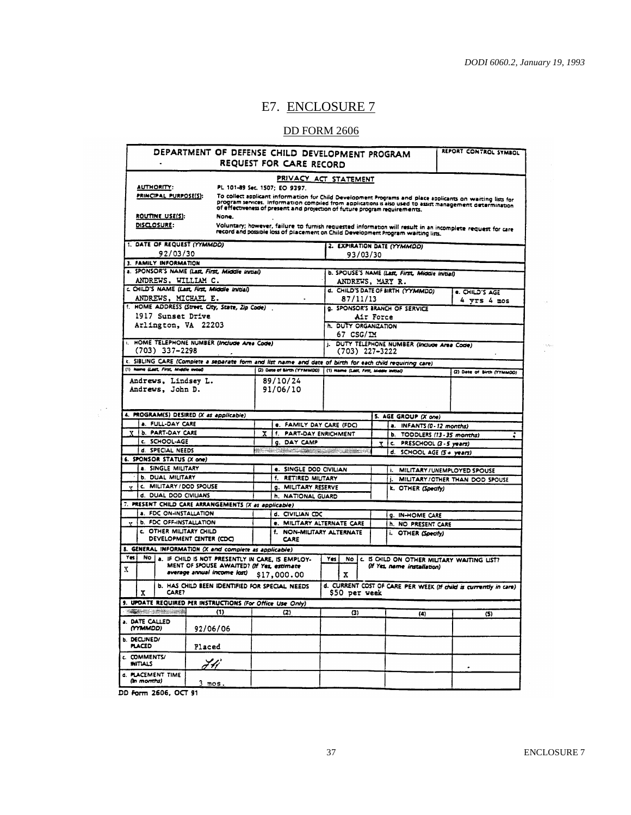$\sim 10^{-1}$ 

 $\frac{1}{\sqrt{2}}$ 

## E7. ENCLOSURE 7

#### DD FORM 2606

| DEPARTMENT OF DEFENSE CHILD DEVELOPMENT PROGRAM                                                          |                                |                                                                                                                                                                                        |                                        |                                                | REPORT CONTROL SYMBOL                                            |  |
|----------------------------------------------------------------------------------------------------------|--------------------------------|----------------------------------------------------------------------------------------------------------------------------------------------------------------------------------------|----------------------------------------|------------------------------------------------|------------------------------------------------------------------|--|
|                                                                                                          | <b>REQUEST FOR CARE RECORD</b> |                                                                                                                                                                                        |                                        |                                                |                                                                  |  |
|                                                                                                          |                                |                                                                                                                                                                                        | PRIVACY ACT STATEMENT                  |                                                |                                                                  |  |
| AUTHORITY:                                                                                               |                                | PL 101-89 Sec. 1507; EO 9397.                                                                                                                                                          |                                        |                                                |                                                                  |  |
| PRINCIPAL PURPOSE(S):                                                                                    |                                | To collect applicant information for Child Development Programs and place applicants on waiting lists for                                                                              |                                        |                                                |                                                                  |  |
|                                                                                                          |                                | program services. Information compiled from applications is also used to assist management determination<br>of effectiveness of present and projection of future program requirements. |                                        |                                                |                                                                  |  |
| ROUTINE USE(S):                                                                                          | None.                          |                                                                                                                                                                                        |                                        |                                                |                                                                  |  |
| DISCLOSURE:                                                                                              |                                | Voluntary; however, failure to furnish requested information will result in an incomplete request for care                                                                             |                                        |                                                |                                                                  |  |
|                                                                                                          |                                | record and possible loss of placement on Child Development Program waiting lists.                                                                                                      |                                        |                                                |                                                                  |  |
| 1. DATE OF REQUEST (YYMMDD)                                                                              |                                |                                                                                                                                                                                        |                                        | 2. EXPIRATION DATE (YYMMOD)                    |                                                                  |  |
| 92/03/30                                                                                                 |                                |                                                                                                                                                                                        | 93/03/30                               |                                                |                                                                  |  |
| 3. FAMILY INFORMATION                                                                                    |                                |                                                                                                                                                                                        |                                        |                                                |                                                                  |  |
| a. SPONSOR'S NAME (Last, First, Middle Initial)                                                          |                                |                                                                                                                                                                                        |                                        | b. SPOUSE'S NAME (Last, First, Middle Initial) |                                                                  |  |
| ANDREWS, WILLIAM C.                                                                                      |                                |                                                                                                                                                                                        |                                        | ANDREWS, MARY R.                               |                                                                  |  |
| c. CHILD'S NAME (Last, First, Middle Initial)                                                            |                                |                                                                                                                                                                                        |                                        | d. CHILD'S DATE OF BIRTH (YYMMDD)              | e. CHILD'S AGE                                                   |  |
| ANDREWS, MICHAEL E.                                                                                      |                                |                                                                                                                                                                                        | 87/11/13                               |                                                | $4$ yrs $4$ mos                                                  |  |
| t. HOME ADDRESS (Street, City, State, Zip Code).                                                         |                                |                                                                                                                                                                                        |                                        | <b>g. SPONSOR'S BRANCH OF SERVICE</b>          |                                                                  |  |
| 1917 Sunset Drive                                                                                        |                                |                                                                                                                                                                                        |                                        | Air Force                                      |                                                                  |  |
| Arlington, VA 22203                                                                                      |                                |                                                                                                                                                                                        | h. DUTY ORGANIZATION                   |                                                |                                                                  |  |
|                                                                                                          |                                |                                                                                                                                                                                        | 67 CSG/IM                              |                                                |                                                                  |  |
| I. HOME TELEPHONE NUMBER (Include Area Code)                                                             |                                |                                                                                                                                                                                        |                                        | J. DUTY TELEPHONE NUMBER (Include Area Code)   |                                                                  |  |
| $(703)$ 337-2298                                                                                         |                                |                                                                                                                                                                                        | $(703)$ 227-3222                       |                                                |                                                                  |  |
| k. SIBLING CARE (Complete a separate form and list name and date of birth for each child requiring care) |                                |                                                                                                                                                                                        |                                        |                                                |                                                                  |  |
| (1) Name (Last, First, Middle Inroad                                                                     |                                | (2) Date of Sirth (YYMMDO)                                                                                                                                                             | (1) Name (Lett, First, Middle Initial) |                                                | (2) Date of Birth (YYMMOD)                                       |  |
|                                                                                                          |                                |                                                                                                                                                                                        |                                        |                                                |                                                                  |  |
| Andrews, Lindsey L.<br>Andrews, John D.                                                                  |                                | 89/10/24<br>91/06/10                                                                                                                                                                   |                                        |                                                |                                                                  |  |
|                                                                                                          |                                |                                                                                                                                                                                        |                                        |                                                |                                                                  |  |
|                                                                                                          |                                |                                                                                                                                                                                        |                                        |                                                |                                                                  |  |
| 4. PROGRAM(S) DESIRED (X as applicable)                                                                  |                                |                                                                                                                                                                                        |                                        |                                                |                                                                  |  |
| a. FULL-DAY CARE                                                                                         |                                |                                                                                                                                                                                        |                                        | 5. AGE GROUP (X one)                           |                                                                  |  |
| b. PART-DAY CARE                                                                                         |                                | e. FAMILY DAY CARE (FDC)                                                                                                                                                               |                                        | a. INFANTS (0-12 months)                       |                                                                  |  |
|                                                                                                          |                                | f. PART-DAY ENRICHMENT<br>x                                                                                                                                                            |                                        |                                                | b. TODDLERS (13-35 months)                                       |  |
| C. SCHOOL-AGE                                                                                            |                                | <b>c. DAY CAMP</b>                                                                                                                                                                     |                                        | c. PRESCHOOL (3 - 5 years)<br>Ā.               |                                                                  |  |
| d. SPECIAL NEEDS<br>6. SPONSOR STATUS (X one)                                                            |                                | a i se samo dal programa composito                                                                                                                                                     |                                        | d. SCHOOL AGE (5+ years)                       |                                                                  |  |
| a. SINGLE MILITARY                                                                                       |                                |                                                                                                                                                                                        |                                        |                                                |                                                                  |  |
|                                                                                                          |                                | e. SINGLE DOD CIVILIAN                                                                                                                                                                 |                                        |                                                | MILITARY / UNEMPLOYED SPOUSE                                     |  |
| <b>b. DUAL MILITARY</b>                                                                                  |                                | f. RETIRED MILITARY                                                                                                                                                                    |                                        | i.                                             | MILITARY/OTHER THAN DOD SPOUSE                                   |  |
| c. MILITARY / DOD SPOUSE<br>v.                                                                           |                                | <b>g. MILITARY RESERVE</b>                                                                                                                                                             |                                        | k. OTHER (Specify)                             |                                                                  |  |
| d. DUAL DOD CIVILIANS                                                                                    |                                | h. NATIONAL GUARD                                                                                                                                                                      |                                        |                                                |                                                                  |  |
| 7. PRESENT CHILD CARE ARRANGEMENTS (X as applicable)                                                     |                                |                                                                                                                                                                                        |                                        |                                                |                                                                  |  |
| <b>a. FDC ON-INSTALLATION</b>                                                                            |                                | d. CIVILIAN CDC                                                                                                                                                                        |                                        | <b>g. IN-HOME CARE</b>                         |                                                                  |  |
| <b>b. FDC OFF-INSTALLATION</b><br>$\mathbf{v}$                                                           |                                |                                                                                                                                                                                        | e. MILITARY ALTERNATE CARE             | h. NO PRESENT CARE                             |                                                                  |  |
| C. OTHER MILITARY CHILD                                                                                  |                                |                                                                                                                                                                                        | f. NON-MILITARY ALTERNATE              | i. OTHER (Specify)                             |                                                                  |  |
| DEVELOPMENT CENTER (CDC)                                                                                 |                                | <b>CARE</b>                                                                                                                                                                            |                                        |                                                |                                                                  |  |
| 8. GENERAL INFORMATION (X and complete as applicable)                                                    |                                |                                                                                                                                                                                        |                                        |                                                |                                                                  |  |
| Yes<br>NO   a. IF CHILD IS NOT PRESENTLY IN CARE, IS EMPLOY-                                             |                                |                                                                                                                                                                                        | Yes<br>No l                            |                                                | C. IS CHILD ON OTHER MILITARY WAITING LIST?                      |  |
| x                                                                                                        |                                | MENT OF SPOUSE AWAITED? (If Yes, estimate                                                                                                                                              |                                        | (If Yes, name installation)                    |                                                                  |  |
|                                                                                                          | average annual income lost)    | \$17,000.00                                                                                                                                                                            | x                                      |                                                |                                                                  |  |
|                                                                                                          |                                | <b>b. HAS CHILD BEEN IDENTIFIED FOR SPECIAL NEEDS</b>                                                                                                                                  |                                        |                                                | d. CURRENT COST OF CARE PER WEEK (If child is currently in care) |  |
| <b>CARE?</b><br>X                                                                                        |                                |                                                                                                                                                                                        | \$50 per week                          |                                                |                                                                  |  |
| 9. UPDATE REQUIRED PER INSTRUCTIONS (For Office Use Only)                                                |                                |                                                                                                                                                                                        |                                        |                                                |                                                                  |  |
| <u> Tanggalan menggunakan </u>                                                                           | (1)                            | (2)                                                                                                                                                                                    | (3)                                    | (4)                                            | (5)                                                              |  |
| a. DATE CALLED                                                                                           |                                |                                                                                                                                                                                        |                                        |                                                |                                                                  |  |
| (MMMDD)                                                                                                  | 92/06/06                       |                                                                                                                                                                                        |                                        |                                                |                                                                  |  |
|                                                                                                          |                                |                                                                                                                                                                                        |                                        |                                                |                                                                  |  |
|                                                                                                          |                                |                                                                                                                                                                                        |                                        |                                                |                                                                  |  |
| <b>PLACED</b>                                                                                            |                                |                                                                                                                                                                                        |                                        |                                                |                                                                  |  |
|                                                                                                          | Placed                         |                                                                                                                                                                                        |                                        |                                                |                                                                  |  |
| <b>INITIALS</b>                                                                                          |                                |                                                                                                                                                                                        |                                        |                                                |                                                                  |  |
| <b>b. DECLINED/</b><br><b>C. COMMENTS/</b>                                                               | FH                             |                                                                                                                                                                                        |                                        |                                                |                                                                  |  |
| d. PLACEMENT TIME                                                                                        |                                |                                                                                                                                                                                        |                                        |                                                |                                                                  |  |
| (in months)                                                                                              | <u>3 mos.</u>                  |                                                                                                                                                                                        |                                        |                                                |                                                                  |  |

DD Form 2606, OCT 91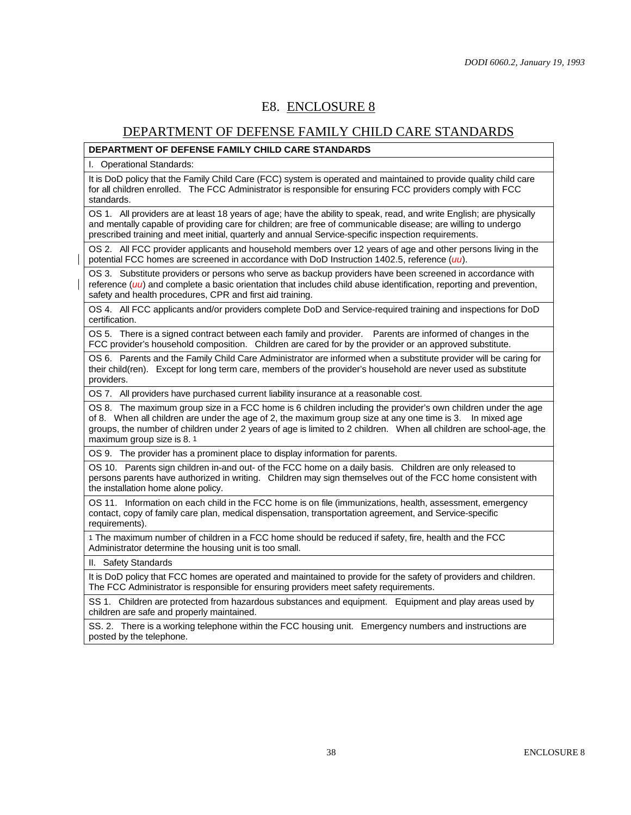#### E8. ENCLOSURE 8

#### DEPARTMENT OF DEFENSE FAMILY CHILD CARE STANDARDS

#### **DEPARTMENT OF DEFENSE FAMILY CHILD CARE STANDARDS**

I. Operational Standards:

It is DoD policy that the Family Child Care (FCC) system is operated and maintained to provide quality child care for all children enrolled. The FCC Administrator is responsible for ensuring FCC providers comply with FCC standards.

OS 1. All providers are at least 18 years of age; have the ability to speak, read, and write English; are physically and mentally capable of providing care for children; are free of communicable disease; are willing to undergo prescribed training and meet initial, quarterly and annual Service-specific inspection requirements.

OS 2. All FCC provider applicants and household members over 12 years of age and other persons living in the potential FCC homes are screened in accordance with DoD Instruction 1402.5, reference (*uu*).

OS 3. Substitute providers or persons who serve as backup providers have been screened in accordance with reference (*uu*) and complete a basic orientation that includes child abuse identification, reporting and prevention, safety and health procedures, CPR and first aid training.

OS 4. All FCC applicants and/or providers complete DoD and Service-required training and inspections for DoD certification.

OS 5. There is a signed contract between each family and provider. Parents are informed of changes in the FCC provider's household composition. Children are cared for by the provider or an approved substitute.

OS 6. Parents and the Family Child Care Administrator are informed when a substitute provider will be caring for their child(ren). Except for long term care, members of the provider's household are never used as substitute providers.

OS 7. All providers have purchased current liability insurance at a reasonable cost.

OS 8. The maximum group size in a FCC home is 6 children including the provider's own children under the age of 8. When all children are under the age of 2, the maximum group size at any one time is 3. In mixed age groups, the number of children under 2 years of age is limited to 2 children. When all children are school-age, the maximum group size is 8. 1

OS 9. The provider has a prominent place to display information for parents.

OS 10. Parents sign children in-and out- of the FCC home on a daily basis. Children are only released to persons parents have authorized in writing. Children may sign themselves out of the FCC home consistent with the installation home alone policy.

OS 11. Information on each child in the FCC home is on file (immunizations, health, assessment, emergency contact, copy of family care plan, medical dispensation, transportation agreement, and Service-specific requirements).

1 The maximum number of children in a FCC home should be reduced if safety, fire, health and the FCC Administrator determine the housing unit is too small.

II. Safety Standards

It is DoD policy that FCC homes are operated and maintained to provide for the safety of providers and children. The FCC Administrator is responsible for ensuring providers meet safety requirements.

SS 1. Children are protected from hazardous substances and equipment. Equipment and play areas used by children are safe and properly maintained.

SS. 2. There is a working telephone within the FCC housing unit. Emergency numbers and instructions are posted by the telephone.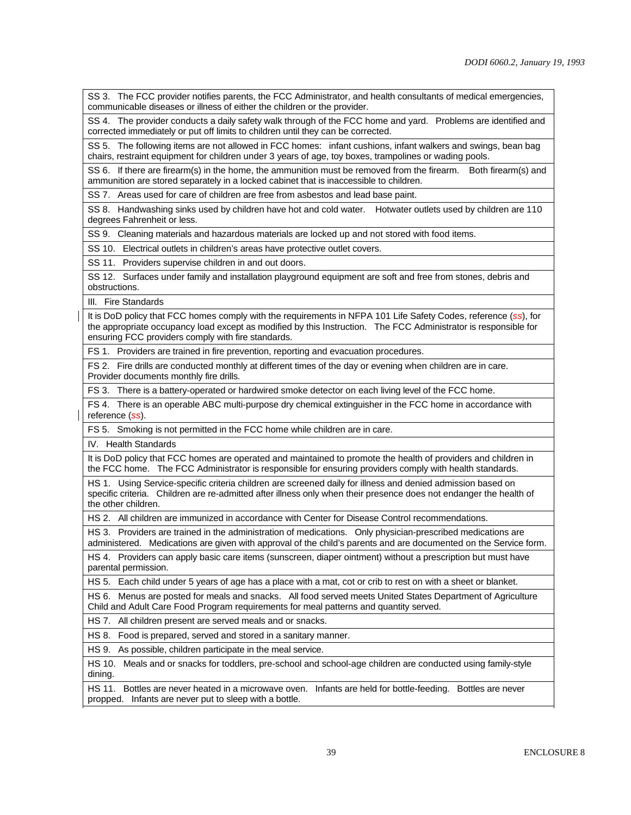SS 3. The FCC provider notifies parents, the FCC Administrator, and health consultants of medical emergencies, communicable diseases or illness of either the children or the provider.

SS 4. The provider conducts a daily safety walk through of the FCC home and yard. Problems are identified and corrected immediately or put off limits to children until they can be corrected.

SS 5. The following items are not allowed in FCC homes: infant cushions, infant walkers and swings, bean bag chairs, restraint equipment for children under 3 years of age, toy boxes, trampolines or wading pools.

SS 6. If there are firearm(s) in the home, the ammunition must be removed from the firearm. Both firearm(s) and ammunition are stored separately in a locked cabinet that is inaccessible to children.

SS 7. Areas used for care of children are free from asbestos and lead base paint.

SS 8. Handwashing sinks used by children have hot and cold water. Hotwater outlets used by children are 110 degrees Fahrenheit or less.

SS 9. Cleaning materials and hazardous materials are locked up and not stored with food items.

SS 10. Electrical outlets in children's areas have protective outlet covers.

SS 11. Providers supervise children in and out doors.

SS 12. Surfaces under family and installation playground equipment are soft and free from stones, debris and obstructions.

III. Fire Standards

It is DoD policy that FCC homes comply with the requirements in NFPA 101 Life Safety Codes, reference (*ss*), for the appropriate occupancy load except as modified by this Instruction. The FCC Administrator is responsible for ensuring FCC providers comply with fire standards.

FS 1. Providers are trained in fire prevention, reporting and evacuation procedures.

FS 2. Fire drills are conducted monthly at different times of the day or evening when children are in care. Provider documents monthly fire drills.

FS 3. There is a battery-operated or hardwired smoke detector on each living level of the FCC home.

FS 4. There is an operable ABC multi-purpose dry chemical extinguisher in the FCC home in accordance with reference (*ss*).

FS 5. Smoking is not permitted in the FCC home while children are in care.

IV. Health Standards

It is DoD policy that FCC homes are operated and maintained to promote the health of providers and children in the FCC home. The FCC Administrator is responsible for ensuring providers comply with health standards.

HS 1. Using Service-specific criteria children are screened daily for illness and denied admission based on specific criteria. Children are re-admitted after illness only when their presence does not endanger the health of the other children.

HS 2. All children are immunized in accordance with Center for Disease Control recommendations.

HS 3. Providers are trained in the administration of medications. Only physician-prescribed medications are administered. Medications are given with approval of the child's parents and are documented on the Service form.

HS 4. Providers can apply basic care items (sunscreen, diaper ointment) without a prescription but must have parental permission.

HS 5. Each child under 5 years of age has a place with a mat, cot or crib to rest on with a sheet or blanket.

HS 6. Menus are posted for meals and snacks. All food served meets United States Department of Agriculture Child and Adult Care Food Program requirements for meal patterns and quantity served.

HS 7. All children present are served meals and or snacks.

HS 8. Food is prepared, served and stored in a sanitary manner.

HS 9. As possible, children participate in the meal service.

HS 10. Meals and or snacks for toddlers, pre-school and school-age children are conducted using family-style dining.

HS 11. Bottles are never heated in a microwave oven. Infants are held for bottle-feeding. Bottles are never propped. Infants are never put to sleep with a bottle.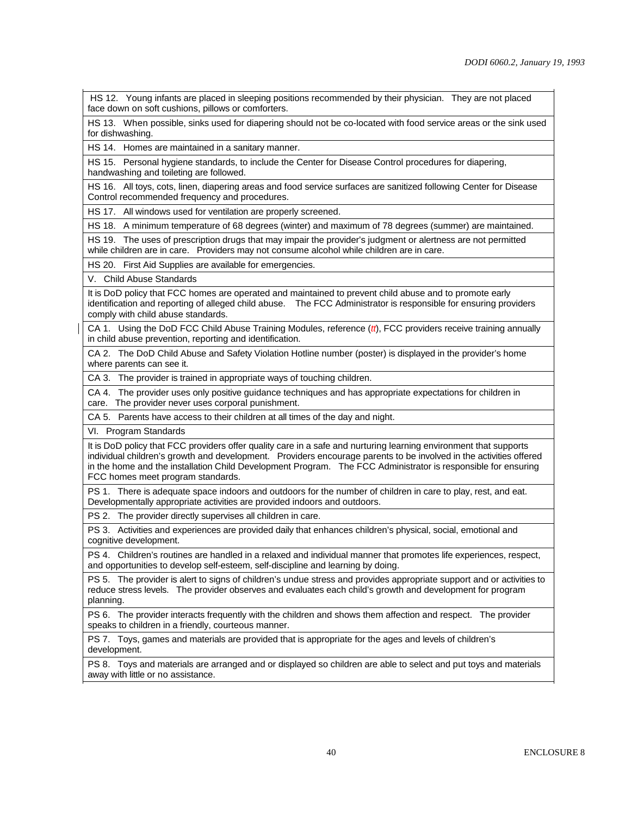HS 12. Young infants are placed in sleeping positions recommended by their physician. They are not placed face down on soft cushions, pillows or comforters.

HS 13. When possible, sinks used for diapering should not be co-located with food service areas or the sink used for dishwashing.

HS 14. Homes are maintained in a sanitary manner.

HS 15. Personal hygiene standards, to include the Center for Disease Control procedures for diapering, handwashing and toileting are followed.

HS 16. All toys, cots, linen, diapering areas and food service surfaces are sanitized following Center for Disease Control recommended frequency and procedures.

HS 17. All windows used for ventilation are properly screened.

HS 18. A minimum temperature of 68 degrees (winter) and maximum of 78 degrees (summer) are maintained.

HS 19. The uses of prescription drugs that may impair the provider's judgment or alertness are not permitted while children are in care. Providers may not consume alcohol while children are in care.

HS 20. First Aid Supplies are available for emergencies.

V. Child Abuse Standards

It is DoD policy that FCC homes are operated and maintained to prevent child abuse and to promote early identification and reporting of alleged child abuse. The FCC Administrator is responsible for ensuring providers comply with child abuse standards.

CA 1. Using the DoD FCC Child Abuse Training Modules, reference (*tt*), FCC providers receive training annually in child abuse prevention, reporting and identification.

CA 2. The DoD Child Abuse and Safety Violation Hotline number (poster) is displayed in the provider's home where parents can see it.

CA 3. The provider is trained in appropriate ways of touching children.

CA 4. The provider uses only positive guidance techniques and has appropriate expectations for children in care. The provider never uses corporal punishment.

CA 5. Parents have access to their children at all times of the day and night.

VI. Program Standards

It is DoD policy that FCC providers offer quality care in a safe and nurturing learning environment that supports individual children's growth and development. Providers encourage parents to be involved in the activities offered in the home and the installation Child Development Program. The FCC Administrator is responsible for ensuring FCC homes meet program standards.

PS 1. There is adequate space indoors and outdoors for the number of children in care to play, rest, and eat. Developmentally appropriate activities are provided indoors and outdoors.

PS 2. The provider directly supervises all children in care.

PS 3. Activities and experiences are provided daily that enhances children's physical, social, emotional and cognitive development.

PS 4. Children's routines are handled in a relaxed and individual manner that promotes life experiences, respect, and opportunities to develop self-esteem, self-discipline and learning by doing.

PS 5. The provider is alert to signs of children's undue stress and provides appropriate support and or activities to reduce stress levels. The provider observes and evaluates each child's growth and development for program planning.

PS 6. The provider interacts frequently with the children and shows them affection and respect. The provider speaks to children in a friendly, courteous manner.

PS 7. Toys, games and materials are provided that is appropriate for the ages and levels of children's development.

PS 8. Toys and materials are arranged and or displayed so children are able to select and put toys and materials away with little or no assistance.